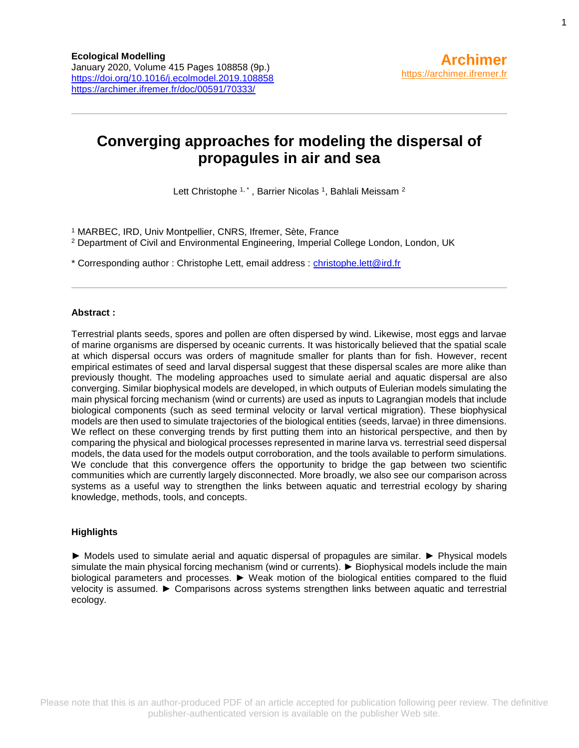## **Converging approaches for modeling the dispersal of propagules in air and sea**

Lett Christophe<sup>1,\*</sup>, Barrier Nicolas<sup>1</sup>, Bahlali Meissam<sup>2</sup>

<sup>1</sup> MARBEC, IRD, Univ Montpellier, CNRS, Ifremer, Sète, France

<sup>2</sup> Department of Civil and Environmental Engineering, Imperial College London, London, UK

\* Corresponding author : Christophe Lett, email address : [christophe.lett@ird.fr](mailto:christophe.lett@ird.fr)

#### **Abstract :**

Terrestrial plants seeds, spores and pollen are often dispersed by wind. Likewise, most eggs and larvae of marine organisms are dispersed by oceanic currents. It was historically believed that the spatial scale at which dispersal occurs was orders of magnitude smaller for plants than for fish. However, recent empirical estimates of seed and larval dispersal suggest that these dispersal scales are more alike than previously thought. The modeling approaches used to simulate aerial and aquatic dispersal are also converging. Similar biophysical models are developed, in which outputs of Eulerian models simulating the main physical forcing mechanism (wind or currents) are used as inputs to Lagrangian models that include biological components (such as seed terminal velocity or larval vertical migration). These biophysical models are then used to simulate trajectories of the biological entities (seeds, larvae) in three dimensions. We reflect on these converging trends by first putting them into an historical perspective, and then by comparing the physical and biological processes represented in marine larva vs. terrestrial seed dispersal models, the data used for the models output corroboration, and the tools available to perform simulations. We conclude that this convergence offers the opportunity to bridge the gap between two scientific communities which are currently largely disconnected. More broadly, we also see our comparison across systems as a useful way to strengthen the links between aquatic and terrestrial ecology by sharing knowledge, methods, tools, and concepts.

#### **Highlights**

► Models used to simulate aerial and aquatic dispersal of propagules are similar. ► Physical models simulate the main physical forcing mechanism (wind or currents). ► Biophysical models include the main biological parameters and processes. ► Weak motion of the biological entities compared to the fluid velocity is assumed. ► Comparisons across systems strengthen links between aquatic and terrestrial ecology.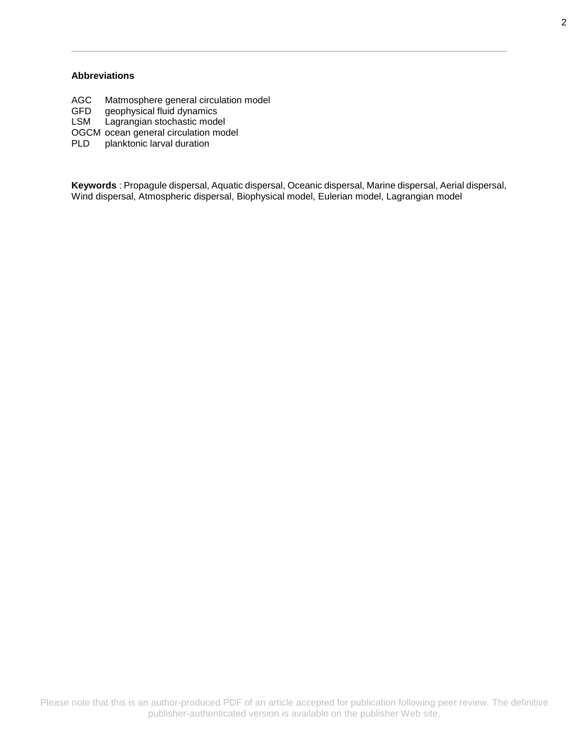#### **Abbreviations**

- AGC Matmosphere general circulation model<br>GFD geophysical fluid dynamics
- geophysical fluid dynamics
- LSM Lagrangian stochastic model
- OGCM ocean general circulation model<br>PLD planktonic larval duration
- planktonic larval duration

**Keywords** : Propagule dispersal, Aquatic dispersal, Oceanic dispersal, Marine dispersal, Aerial dispersal, Wind dispersal, Atmospheric dispersal, Biophysical model, Eulerian model, Lagrangian model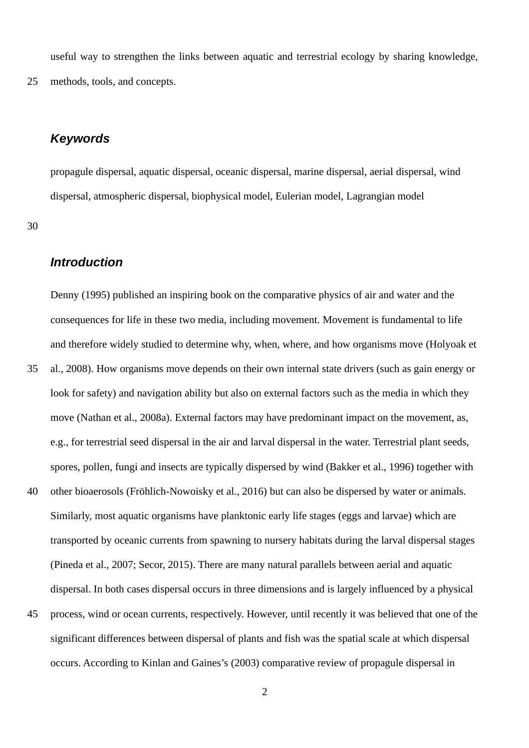#### *Introduction*

Denny (1995) published an inspiring book on the comparative physics of air and water and the consequences for life in these two media, including movement. Movement is fundamental to life and therefore widely studied to determine why, when, where, and how organisms move (Holyoak et

- al., 2008). How organisms move depends on their own internal state drivers (such as gain energy or look for safety) and navigation ability but also on external factors such as the media in which they move (Nathan et al., 2008a). External factors may have predominant impact on the movement, as, e.g., for terrestrial seed dispersal in the air and larval dispersal in the water. Terrestrial plant seeds, spores, pollen, fungi and insects are typically dispersed by wind (Bakker et al., 1996) together with 35
- other bioaerosols (Fröhlich-Nowoisky et al., 2016) but can also be dispersed by water or animals. Similarly, most aquatic organisms have planktonic early life stages (eggs and larvae) which are transported by oceanic currents from spawning to nursery habitats during the larval dispersal stages (Pineda et al., 2007; Secor, 2015). There are many natural parallels between aerial and aquatic dispersal. In both cases dispersal occurs in three dimensions and is largely influenced by a physical 40
- process, wind or ocean currents, respectively. However, until recently it was believed that one of the significant differences between dispersal of plants and fish was the spatial scale at which dispersal occurs. According to Kinlan and Gaines's (2003) comparative review of propagule dispersal in 45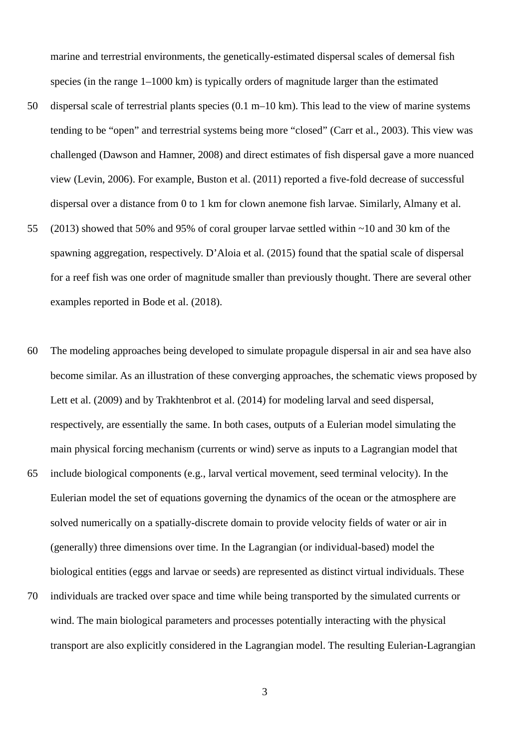marine and terrestrial environments, the genetically-estimated dispersal scales of demersal fish species (in the range 1–1000 km) is typically orders of magnitude larger than the estimated

- dispersal scale of terrestrial plants species (0.1 m–10 km). This lead to the view of marine systems tending to be "open" and terrestrial systems being more "closed" (Carr et al., 2003). This view was challenged (Dawson and Hamner, 2008) and direct estimates of fish dispersal gave a more nuanced view (Levin, 2006). For example, Buston et al. (2011) reported a five-fold decrease of successful dispersal over a distance from 0 to 1 km for clown anemone fish larvae. Similarly, Almany et al. 50
- (2013) showed that 50% and 95% of coral grouper larvae settled within ~10 and 30 km of the spawning aggregation, respectively. D'Aloia et al. (2015) found that the spatial scale of dispersal for a reef fish was one order of magnitude smaller than previously thought. There are several other examples reported in Bode et al. (2018). 55
- The modeling approaches being developed to simulate propagule dispersal in air and sea have also become similar. As an illustration of these converging approaches, the schematic views proposed by Lett et al. (2009) and by Trakhtenbrot et al. (2014) for modeling larval and seed dispersal, respectively, are essentially the same. In both cases, outputs of a Eulerian model simulating the main physical forcing mechanism (currents or wind) serve as inputs to a Lagrangian model that include biological components (e.g., larval vertical movement, seed terminal velocity). In the Eulerian model the set of equations governing the dynamics of the ocean or the atmosphere are solved numerically on a spatially-discrete domain to provide velocity fields of water or air in (generally) three dimensions over time. In the Lagrangian (or individual-based) model the biological entities (eggs and larvae or seeds) are represented as distinct virtual individuals. These 60 65
- individuals are tracked over space and time while being transported by the simulated currents or wind. The main biological parameters and processes potentially interacting with the physical transport are also explicitly considered in the Lagrangian model. The resulting Eulerian-Lagrangian 70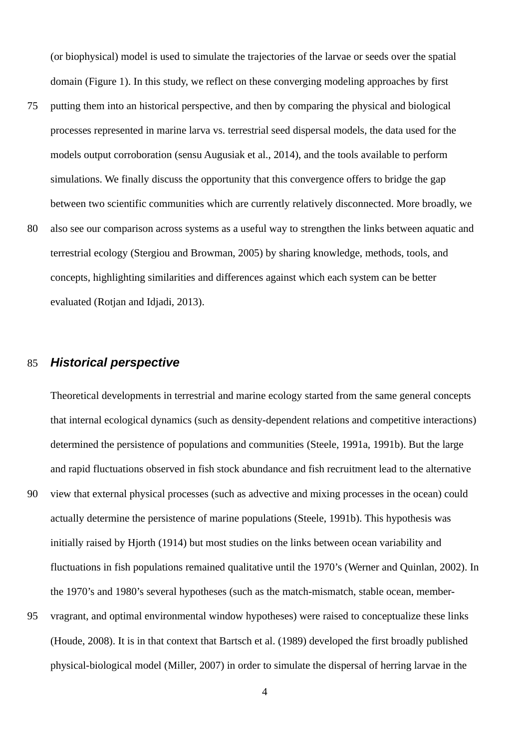(or biophysical) model is used to simulate the trajectories of the larvae or seeds over the spatial domain [\(Figure 1\)](#page-8-0). In this study, we reflect on these converging modeling approaches by first

putting them into an historical perspective, and then by comparing the physical and biological processes represented in marine larva vs. terrestrial seed dispersal models, the data used for the models output corroboration (sensu Augusiak et al., 2014), and the tools available to perform simulations. We finally discuss the opportunity that this convergence offers to bridge the gap between two scientific communities which are currently relatively disconnected. More broadly, we also see our comparison across systems as a useful way to strengthen the links between aquatic and terrestrial ecology (Stergiou and Browman, 2005) by sharing knowledge, methods, tools, and concepts, highlighting similarities and differences against which each system can be better evaluated (Rotjan and Idjadi, 2013). 75 80

#### *Historical perspective* 85

Theoretical developments in terrestrial and marine ecology started from the same general concepts that internal ecological dynamics (such as density-dependent relations and competitive interactions) determined the persistence of populations and communities (Steele, 1991a, 1991b). But the large and rapid fluctuations observed in fish stock abundance and fish recruitment lead to the alternative view that external physical processes (such as advective and mixing processes in the ocean) could actually determine the persistence of marine populations (Steele, 1991b). This hypothesis was initially raised by Hjorth (1914) but most studies on the links between ocean variability and fluctuations in fish populations remained qualitative until the 1970's (Werner and Quinlan, 2002). In the 1970's and 1980's several hypotheses (such as the match-mismatch, stable ocean, member-90

vragrant, and optimal environmental window hypotheses) were raised to conceptualize these links (Houde, 2008). It is in that context that Bartsch et al. (1989) developed the first broadly published physical-biological model (Miller, 2007) in order to simulate the dispersal of herring larvae in the 95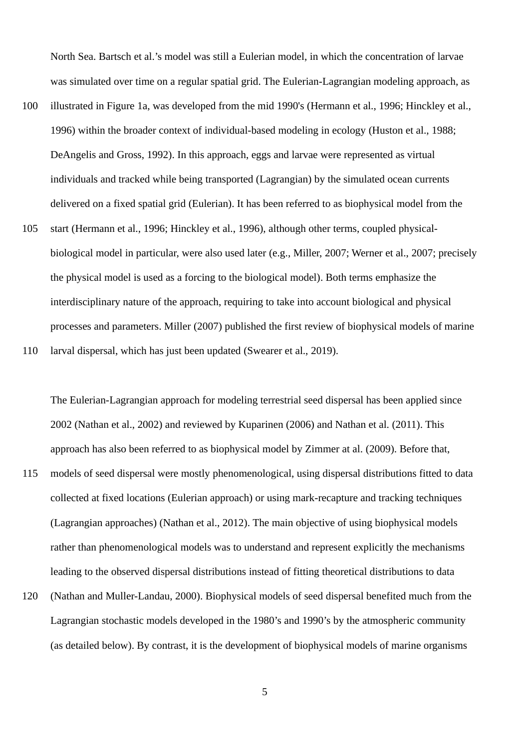North Sea. Bartsch et al.'s model was still a Eulerian model, in which the concentration of larvae was simulated over time on a regular spatial grid. The Eulerian-Lagrangian modeling approach, as

- illustrated in [Figure 1a](#page-8-0), was developed from the mid 1990's (Hermann et al., 1996; Hinckley et al., 1996) within the broader context of individual-based modeling in ecology (Huston et al., 1988; DeAngelis and Gross, 1992). In this approach, eggs and larvae were represented as virtual individuals and tracked while being transported (Lagrangian) by the simulated ocean currents delivered on a fixed spatial grid (Eulerian). It has been referred to as biophysical model from the 100
- start (Hermann et al., 1996; Hinckley et al., 1996), although other terms, coupled physicalbiological model in particular, were also used later (e.g., Miller, 2007; Werner et al., 2007; precisely the physical model is used as a forcing to the biological model). Both terms emphasize the interdisciplinary nature of the approach, requiring to take into account biological and physical processes and parameters. Miller (2007) published the first review of biophysical models of marine larval dispersal, which has just been updated (Swearer et al., 2019). 105 110

The Eulerian-Lagrangian approach for modeling terrestrial seed dispersal has been applied since 2002 (Nathan et al., 2002) and reviewed by Kuparinen (2006) and Nathan et al. (2011). This approach has also been referred to as biophysical model by Zimmer at al. (2009). Before that, models of seed dispersal were mostly phenomenological, using dispersal distributions fitted to data collected at fixed locations (Eulerian approach) or using mark-recapture and tracking techniques (Lagrangian approaches) (Nathan et al., 2012). The main objective of using biophysical models rather than phenomenological models was to understand and represent explicitly the mechanisms leading to the observed dispersal distributions instead of fitting theoretical distributions to data 115

(Nathan and Muller-Landau, 2000). Biophysical models of seed dispersal benefited much from the Lagrangian stochastic models developed in the 1980's and 1990's by the atmospheric community (as detailed below). By contrast, it is the development of biophysical models of marine organisms 120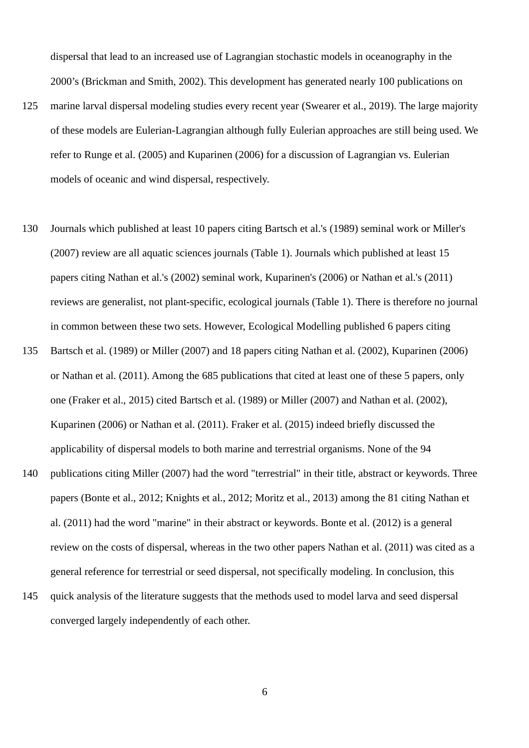dispersal that lead to an increased use of Lagrangian stochastic models in oceanography in the 2000's (Brickman and Smith, 2002). This development has generated nearly 100 publications on

- marine larval dispersal modeling studies every recent year (Swearer et al., 2019). The large majority of these models are Eulerian-Lagrangian although fully Eulerian approaches are still being used. We refer to Runge et al. (2005) and Kuparinen (2006) for a discussion of Lagrangian vs. Eulerian models of oceanic and wind dispersal, respectively. 125
- Journals which published at least 10 papers citing Bartsch et al.'s (1989) seminal work or Miller's (2007) review are all aquatic sciences journals [\(Table 1\)](#page-7-0). Journals which published at least 15 papers citing Nathan et al.'s (2002) seminal work, Kuparinen's (2006) or Nathan et al.'s (2011) reviews are generalist, not plant-specific, ecological journals [\(Table 1\)](#page-7-0). There is therefore no journal in common between these two sets. However, Ecological Modelling published 6 papers citing 130
- Bartsch et al. (1989) or Miller (2007) and 18 papers citing Nathan et al. (2002), Kuparinen (2006) or Nathan et al. (2011). Among the 685 publications that cited at least one of these 5 papers, only one (Fraker et al., 2015) cited Bartsch et al. (1989) or Miller (2007) and Nathan et al. (2002), Kuparinen (2006) or Nathan et al. (2011). Fraker et al. (2015) indeed briefly discussed the applicability of dispersal models to both marine and terrestrial organisms. None of the 94 135
- publications citing Miller (2007) had the word "terrestrial" in their title, abstract or keywords. Three papers (Bonte et al., 2012; Knights et al., 2012; Moritz et al., 2013) among the 81 citing Nathan et al. (2011) had the word "marine" in their abstract or keywords. Bonte et al. (2012) is a general review on the costs of dispersal, whereas in the two other papers Nathan et al. (2011) was cited as a general reference for terrestrial or seed dispersal, not specifically modeling. In conclusion, this 140
- quick analysis of the literature suggests that the methods used to model larva and seed dispersal converged largely independently of each other. 145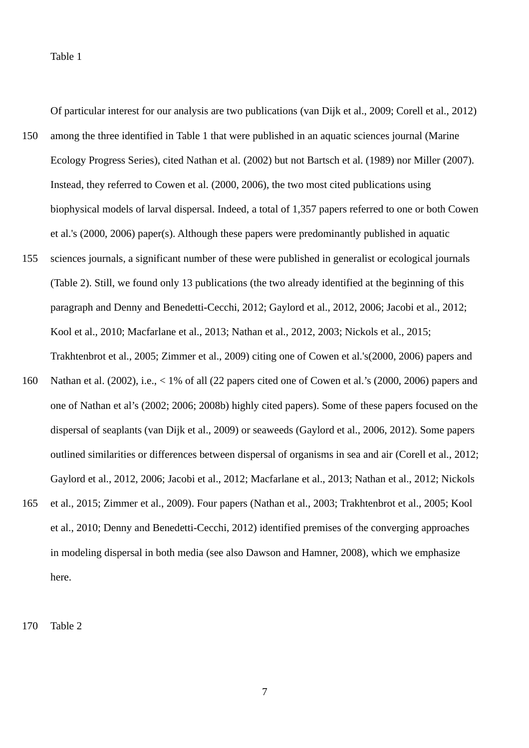<span id="page-7-0"></span>Table 1

Of particular interest for our analysis are two publications (van Dijk et al., 2009; Corell et al., 2012)

- among the three identified in [Table 1](#page-7-0) that were published in an aquatic sciences journal (Marine Ecology Progress Series), cited Nathan et al. (2002) but not Bartsch et al. (1989) nor Miller (2007). Instead, they referred to Cowen et al. (2000, 2006), the two most cited publications using biophysical models of larval dispersal. Indeed, a total of 1,357 papers referred to one or both Cowen et al.'s (2000, 2006) paper(s). Although these papers were predominantly published in aquatic 150
- sciences journals, a significant number of these were published in generalist or ecological journals [\(Table 2\)](#page-7-1). Still, we found only 13 publications (the two already identified at the beginning of this paragraph and Denny and Benedetti-Cecchi, 2012; Gaylord et al., 2012, 2006; Jacobi et al., 2012; Kool et al., 2010; Macfarlane et al., 2013; Nathan et al., 2012, 2003; Nickols et al., 2015; Trakhtenbrot et al., 2005; Zimmer et al., 2009) citing one of Cowen et al.'s(2000, 2006) papers and 155
- Nathan et al. (2002), i.e., < 1% of all (22 papers cited one of Cowen et al.'s (2000, 2006) papers and one of Nathan et al's (2002; 2006; 2008b) highly cited papers). Some of these papers focused on the dispersal of seaplants (van Dijk et al., 2009) or seaweeds (Gaylord et al., 2006, 2012). Some papers outlined similarities or differences between dispersal of organisms in sea and air (Corell et al., 2012; Gaylord et al., 2012, 2006; Jacobi et al., 2012; Macfarlane et al., 2013; Nathan et al., 2012; Nickols 160
- et al., 2015; Zimmer et al., 2009). Four papers (Nathan et al., 2003; Trakhtenbrot et al., 2005; Kool et al., 2010; Denny and Benedetti-Cecchi, 2012) identified premises of the converging approaches in modeling dispersal in both media (see also Dawson and Hamner, 2008), which we emphasize here. 165

<span id="page-7-1"></span>Table 2 170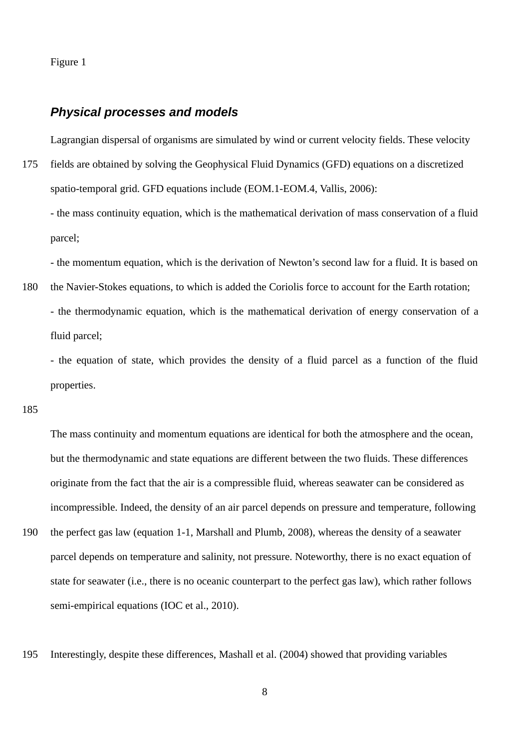#### <span id="page-8-0"></span>Figure 1

#### *Physical processes and models*

Lagrangian dispersal of organisms are simulated by wind or current velocity fields. These velocity

fields are obtained by solving the Geophysical Fluid Dynamics (GFD) equations on a discretized spatio-temporal grid. GFD equations include (EOM.1-EOM.4, Vallis, 2006): 175

- the mass continuity equation, which is the mathematical derivation of mass conservation of a fluid parcel;

- the momentum equation, which is the derivation of Newton's second law for a fluid. It is based on

the Navier-Stokes equations, to which is added the Coriolis force to account for the Earth rotation; - the thermodynamic equation, which is the mathematical derivation of energy conservation of a fluid parcel; 180

- the equation of state, which provides the density of a fluid parcel as a function of the fluid properties.

185

- The mass continuity and momentum equations are identical for both the atmosphere and the ocean, but the thermodynamic and state equations are different between the two fluids. These differences originate from the fact that the air is a compressible fluid, whereas seawater can be considered as incompressible. Indeed, the density of an air parcel depends on pressure and temperature, following
- the perfect gas law (equation 1-1, Marshall and Plumb, 2008), whereas the density of a seawater parcel depends on temperature and salinity, not pressure. Noteworthy, there is no exact equation of state for seawater (i.e., there is no oceanic counterpart to the perfect gas law), which rather follows semi-empirical equations (IOC et al., 2010). 190
- Interestingly, despite these differences, Mashall et al. (2004) showed that providing variables 195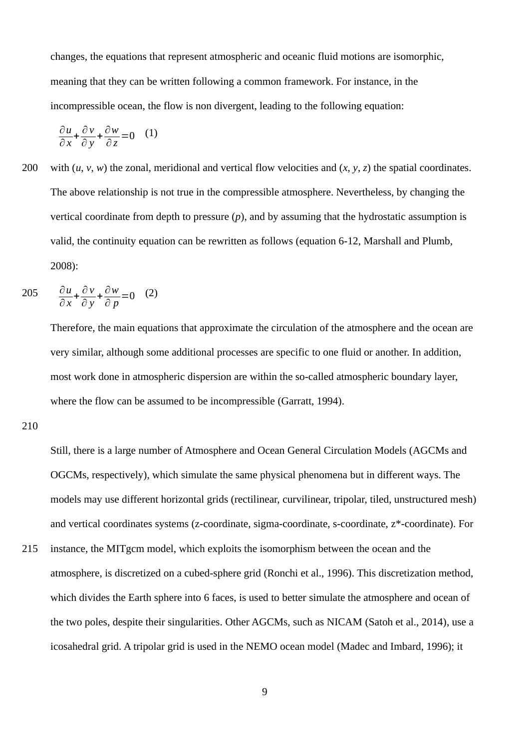changes, the equations that represent atmospheric and oceanic fluid motions are isomorphic, meaning that they can be written following a common framework. For instance, in the incompressible ocean, the flow is non divergent, leading to the following equation:

$$
\frac{\partial u}{\partial x} + \frac{\partial v}{\partial y} + \frac{\partial w}{\partial z} = 0 \quad (1)
$$

with (*u*, *v*, *w*) the zonal, meridional and vertical flow velocities and (*x*, *y*, *z*) the spatial coordinates. The above relationship is not true in the compressible atmosphere. Nevertheless, by changing the vertical coordinate from depth to pressure (*p*), and by assuming that the hydrostatic assumption is valid, the continuity equation can be rewritten as follows (equation 6-12, Marshall and Plumb, 2008): 200

205 
$$
\frac{\partial u}{\partial x} + \frac{\partial v}{\partial y} + \frac{\partial w}{\partial p} = 0 \quad (2)
$$

Therefore, the main equations that approximate the circulation of the atmosphere and the ocean are very similar, although some additional processes are specific to one fluid or another. In addition, most work done in atmospheric dispersion are within the so-called atmospheric boundary layer, where the flow can be assumed to be incompressible (Garratt, 1994).

210

Still, there is a large number of Atmosphere and Ocean General Circulation Models (AGCMs and OGCMs, respectively), which simulate the same physical phenomena but in different ways. The models may use different horizontal grids (rectilinear, curvilinear, tripolar, tiled, unstructured mesh) and vertical coordinates systems (z-coordinate, sigma-coordinate, s-coordinate, z\*-coordinate). For instance, the MITgcm model, which exploits the isomorphism between the ocean and the atmosphere, is discretized on a cubed-sphere grid (Ronchi et al., 1996). This discretization method, which divides the Earth sphere into 6 faces, is used to better simulate the atmosphere and ocean of the two poles, despite their singularities. Other AGCMs, such as NICAM (Satoh et al., 2014), use a icosahedral grid. A tripolar grid is used in the NEMO ocean model (Madec and Imbard, 1996); it 215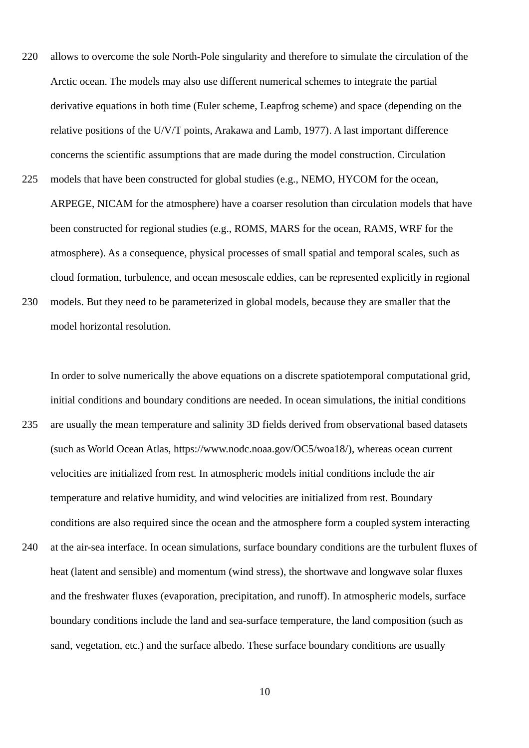- allows to overcome the sole North-Pole singularity and therefore to simulate the circulation of the Arctic ocean. The models may also use different numerical schemes to integrate the partial derivative equations in both time (Euler scheme, Leapfrog scheme) and space (depending on the relative positions of the U/V/T points, Arakawa and Lamb, 1977). A last important difference concerns the scientific assumptions that are made during the model construction. Circulation models that have been constructed for global studies (e.g., NEMO, HYCOM for the ocean, ARPEGE, NICAM for the atmosphere) have a coarser resolution than circulation models that have been constructed for regional studies (e.g., ROMS, MARS for the ocean, RAMS, WRF for the atmosphere). As a consequence, physical processes of small spatial and temporal scales, such as cloud formation, turbulence, and ocean mesoscale eddies, can be represented explicitly in regional 220 225
- models. But they need to be parameterized in global models, because they are smaller that the model horizontal resolution. 230

In order to solve numerically the above equations on a discrete spatiotemporal computational grid, initial conditions and boundary conditions are needed. In ocean simulations, the initial conditions are usually the mean temperature and salinity 3D fields derived from observational based datasets (such as World Ocean Atlas, https://www.nodc.noaa.gov/OC5/woa18/), whereas ocean current velocities are initialized from rest. In atmospheric models initial conditions include the air temperature and relative humidity, and wind velocities are initialized from rest. Boundary conditions are also required since the ocean and the atmosphere form a coupled system interacting at the air-sea interface. In ocean simulations, surface boundary conditions are the turbulent fluxes of heat (latent and sensible) and momentum (wind stress), the shortwave and longwave solar fluxes and the freshwater fluxes (evaporation, precipitation, and runoff). In atmospheric models, surface boundary conditions include the land and sea-surface temperature, the land composition (such as sand, vegetation, etc.) and the surface albedo. These surface boundary conditions are usually 235 240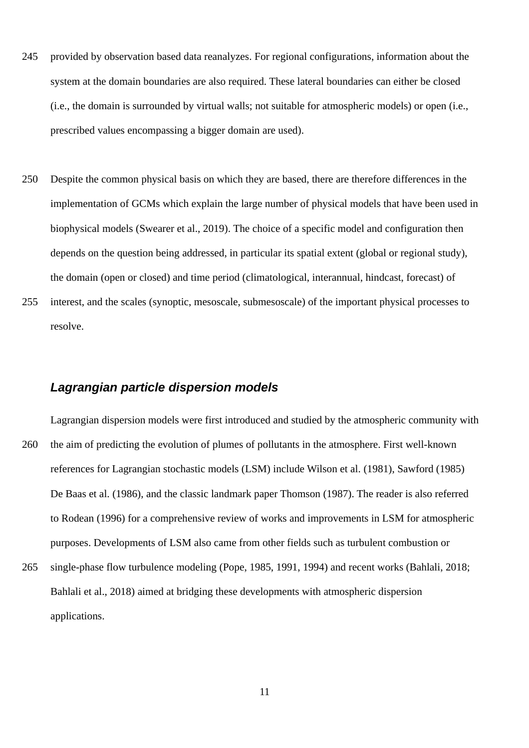- provided by observation based data reanalyzes. For regional configurations, information about the system at the domain boundaries are also required. These lateral boundaries can either be closed (i.e., the domain is surrounded by virtual walls; not suitable for atmospheric models) or open (i.e., prescribed values encompassing a bigger domain are used). 245
- Despite the common physical basis on which they are based, there are therefore differences in the implementation of GCMs which explain the large number of physical models that have been used in biophysical models (Swearer et al., 2019). The choice of a specific model and configuration then depends on the question being addressed, in particular its spatial extent (global or regional study), the domain (open or closed) and time period (climatological, interannual, hindcast, forecast) of 250
- interest, and the scales (synoptic, mesoscale, submesoscale) of the important physical processes to resolve. 255

### *Lagrangian particle dispersion models*

- Lagrangian dispersion models were first introduced and studied by the atmospheric community with the aim of predicting the evolution of plumes of pollutants in the atmosphere. First well-known references for Lagrangian stochastic models (LSM) include Wilson et al. (1981), Sawford (1985) De Baas et al. (1986), and the classic landmark paper Thomson (1987). The reader is also referred to Rodean (1996) for a comprehensive review of works and improvements in LSM for atmospheric purposes. Developments of LSM also came from other fields such as turbulent combustion or 260
- single-phase flow turbulence modeling (Pope, 1985, 1991, 1994) and recent works (Bahlali, 2018; Bahlali et al., 2018) aimed at bridging these developments with atmospheric dispersion applications. 265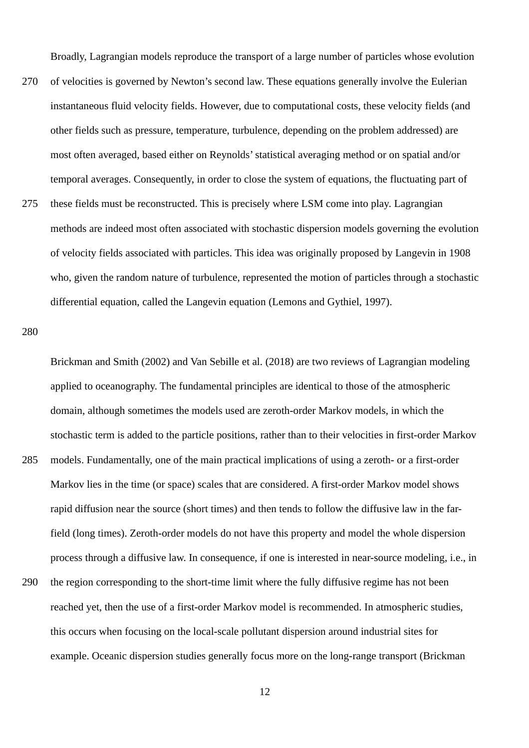Broadly, Lagrangian models reproduce the transport of a large number of particles whose evolution

- of velocities is governed by Newton's second law. These equations generally involve the Eulerian instantaneous fluid velocity fields. However, due to computational costs, these velocity fields (and other fields such as pressure, temperature, turbulence, depending on the problem addressed) are most often averaged, based either on Reynolds' statistical averaging method or on spatial and/or temporal averages. Consequently, in order to close the system of equations, the fluctuating part of 270
- these fields must be reconstructed. This is precisely where LSM come into play. Lagrangian methods are indeed most often associated with stochastic dispersion models governing the evolution of velocity fields associated with particles. This idea was originally proposed by Langevin in 1908 who, given the random nature of turbulence, represented the motion of particles through a stochastic differential equation, called the Langevin equation (Lemons and Gythiel, 1997). 275

280

Brickman and Smith (2002) and Van Sebille et al. (2018) are two reviews of Lagrangian modeling applied to oceanography. The fundamental principles are identical to those of the atmospheric domain, although sometimes the models used are zeroth-order Markov models, in which the stochastic term is added to the particle positions, rather than to their velocities in first-order Markov models. Fundamentally, one of the main practical implications of using a zeroth- or a first-order Markov lies in the time (or space) scales that are considered. A first-order Markov model shows rapid diffusion near the source (short times) and then tends to follow the diffusive law in the farfield (long times). Zeroth-order models do not have this property and model the whole dispersion process through a diffusive law. In consequence, if one is interested in near-source modeling, i.e., in the region corresponding to the short-time limit where the fully diffusive regime has not been reached yet, then the use of a first-order Markov model is recommended. In atmospheric studies, this occurs when focusing on the local-scale pollutant dispersion around industrial sites for example. Oceanic dispersion studies generally focus more on the long-range transport (Brickman 285 290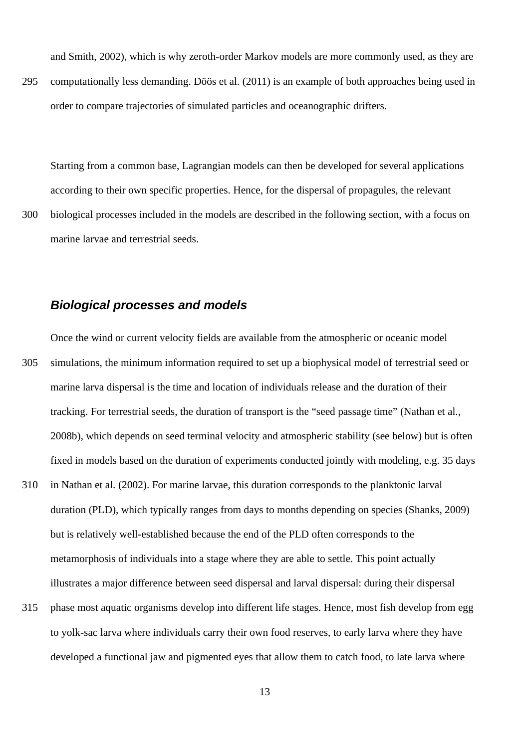and Smith, 2002), which is why zeroth-order Markov models are more commonly used, as they are

computationally less demanding. Döös et al. (2011) is an example of both approaches being used in order to compare trajectories of simulated particles and oceanographic drifters. 295

Starting from a common base, Lagrangian models can then be developed for several applications according to their own specific properties. Hence, for the dispersal of propagules, the relevant biological processes included in the models are described in the following section, with a focus on marine larvae and terrestrial seeds. 300

#### *Biological processes and models*

- Once the wind or current velocity fields are available from the atmospheric or oceanic model simulations, the minimum information required to set up a biophysical model of terrestrial seed or marine larva dispersal is the time and location of individuals release and the duration of their tracking. For terrestrial seeds, the duration of transport is the "seed passage time" (Nathan et al., 2008b), which depends on seed terminal velocity and atmospheric stability (see below) but is often fixed in models based on the duration of experiments conducted jointly with modeling, e.g. 35 days in Nathan et al. (2002). For marine larvae, this duration corresponds to the planktonic larval duration (PLD), which typically ranges from days to months depending on species (Shanks, 2009) but is relatively well-established because the end of the PLD often corresponds to the metamorphosis of individuals into a stage where they are able to settle. This point actually illustrates a major difference between seed dispersal and larval dispersal: during their dispersal 305 310
- phase most aquatic organisms develop into different life stages. Hence, most fish develop from egg to yolk-sac larva where individuals carry their own food reserves, to early larva where they have developed a functional jaw and pigmented eyes that allow them to catch food, to late larva where 315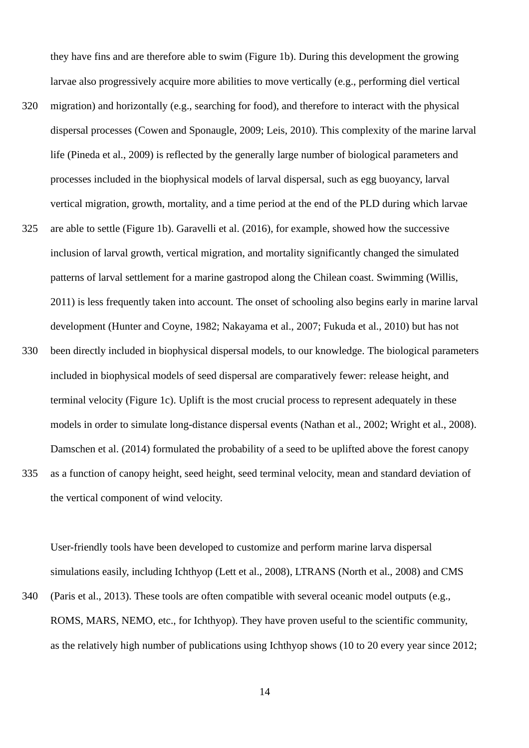they have fins and are therefore able to swim [\(Figure 1b](#page-8-0)). During this development the growing larvae also progressively acquire more abilities to move vertically (e.g., performing diel vertical

- migration) and horizontally (e.g., searching for food), and therefore to interact with the physical dispersal processes (Cowen and Sponaugle, 2009; Leis, 2010). This complexity of the marine larval life (Pineda et al., 2009) is reflected by the generally large number of biological parameters and processes included in the biophysical models of larval dispersal, such as egg buoyancy, larval vertical migration, growth, mortality, and a time period at the end of the PLD during which larvae 320
- are able to settle [\(Figure 1b](#page-8-0)). Garavelli et al. (2016), for example, showed how the successive inclusion of larval growth, vertical migration, and mortality significantly changed the simulated patterns of larval settlement for a marine gastropod along the Chilean coast. Swimming (Willis, 2011) is less frequently taken into account. The onset of schooling also begins early in marine larval development (Hunter and Coyne, 1982; Nakayama et al., 2007; Fukuda et al., 2010) but has not 325
- been directly included in biophysical dispersal models, to our knowledge. The biological parameters included in biophysical models of seed dispersal are comparatively fewer: release height, and terminal velocity [\(Figure 1c](#page-8-0)). Uplift is the most crucial process to represent adequately in these models in order to simulate long-distance dispersal events (Nathan et al., 2002; Wright et al., 2008). Damschen et al. (2014) formulated the probability of a seed to be uplifted above the forest canopy as a function of canopy height, seed height, seed terminal velocity, mean and standard deviation of the vertical component of wind velocity. 330 335

User-friendly tools have been developed to customize and perform marine larva dispersal simulations easily, including Ichthyop (Lett et al., 2008), LTRANS (North et al., 2008) and CMS

(Paris et al., 2013). These tools are often compatible with several oceanic model outputs (e.g., ROMS, MARS, NEMO, etc., for Ichthyop). They have proven useful to the scientific community, as the relatively high number of publications using Ichthyop shows (10 to 20 every year since 2012; 340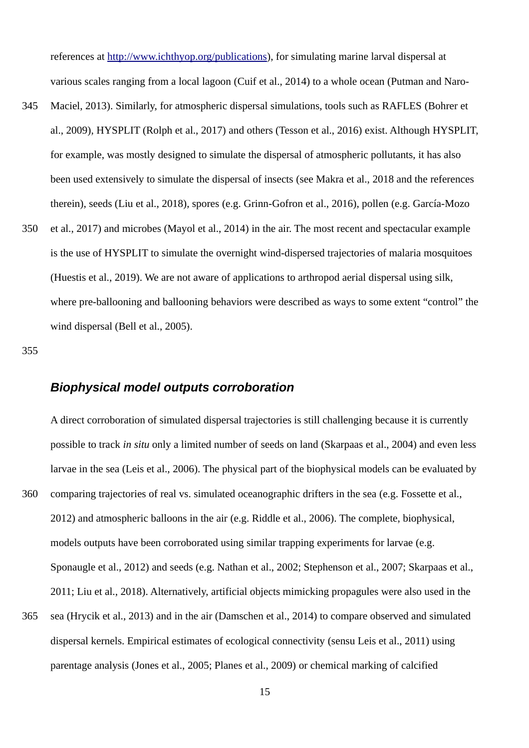references at [http://www.ichthyop.org/publications\)](http://www.ichthyop.org/publications), for simulating marine larval dispersal at various scales ranging from a local lagoon (Cuif et al., 2014) to a whole ocean (Putman and Naro-

- Maciel, 2013). Similarly, for atmospheric dispersal simulations, tools such as RAFLES (Bohrer et al., 2009), HYSPLIT (Rolph et al., 2017) and others (Tesson et al., 2016) exist. Although HYSPLIT, for example, was mostly designed to simulate the dispersal of atmospheric pollutants, it has also been used extensively to simulate the dispersal of insects (see Makra et al., 2018 and the references therein), seeds (Liu et al., 2018), spores (e.g. Grinn-Gofron et al., 2016), pollen (e.g. García-Mozo 345
- et al., 2017) and microbes (Mayol et al., 2014) in the air. The most recent and spectacular example is the use of HYSPLIT to simulate the overnight wind-dispersed trajectories of malaria mosquitoes (Huestis et al., 2019). We are not aware of applications to arthropod aerial dispersal using silk, where pre-ballooning and ballooning behaviors were described as ways to some extent "control" the wind dispersal (Bell et al., 2005). 350

355

### *Biophysical model outputs corroboration*

A direct corroboration of simulated dispersal trajectories is still challenging because it is currently possible to track *in situ* only a limited number of seeds on land (Skarpaas et al., 2004) and even less larvae in the sea (Leis et al., 2006). The physical part of the biophysical models can be evaluated by comparing trajectories of real vs. simulated oceanographic drifters in the sea (e.g. Fossette et al., 2012) and atmospheric balloons in the air (e.g. Riddle et al., 2006). The complete, biophysical, models outputs have been corroborated using similar trapping experiments for larvae (e.g. Sponaugle et al., 2012) and seeds (e.g. Nathan et al., 2002; Stephenson et al., 2007; Skarpaas et al., 2011; Liu et al., 2018). Alternatively, artificial objects mimicking propagules were also used in the sea (Hrycik et al., 2013) and in the air (Damschen et al., 2014) to compare observed and simulated 360 365

dispersal kernels. Empirical estimates of ecological connectivity (sensu Leis et al., 2011) using parentage analysis (Jones et al., 2005; Planes et al., 2009) or chemical marking of calcified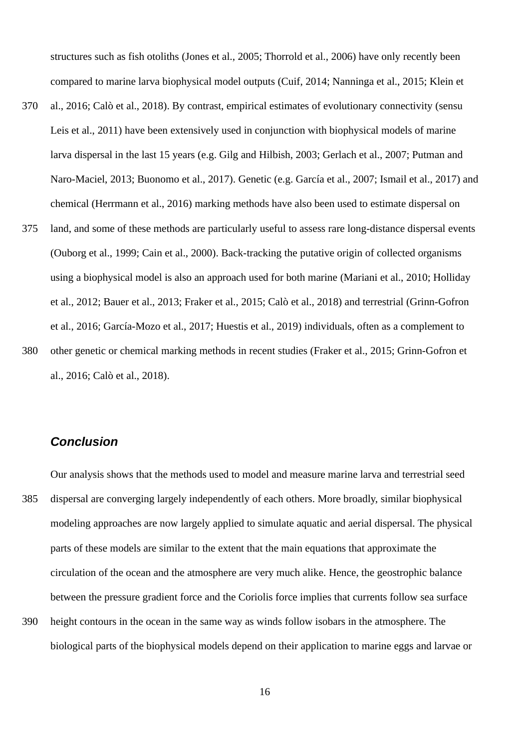structures such as fish otoliths (Jones et al., 2005; Thorrold et al., 2006) have only recently been compared to marine larva biophysical model outputs (Cuif, 2014; Nanninga et al., 2015; Klein et

- al., 2016; Calò et al., 2018). By contrast, empirical estimates of evolutionary connectivity (sensu Leis et al., 2011) have been extensively used in conjunction with biophysical models of marine larva dispersal in the last 15 years (e.g. Gilg and Hilbish, 2003; Gerlach et al., 2007; Putman and Naro-Maciel, 2013; Buonomo et al., 2017). Genetic (e.g. García et al., 2007; Ismail et al., 2017) and chemical (Herrmann et al., 2016) marking methods have also been used to estimate dispersal on 370
- land, and some of these methods are particularly useful to assess rare long-distance dispersal events (Ouborg et al., 1999; Cain et al., 2000). Back-tracking the putative origin of collected organisms using a biophysical model is also an approach used for both marine (Mariani et al., 2010; Holliday et al., 2012; Bauer et al., 2013; Fraker et al., 2015; Calò et al., 2018) and terrestrial (Grinn-Gofron et al., 2016; García-Mozo et al., 2017; Huestis et al., 2019) individuals, often as a complement to other genetic or chemical marking methods in recent studies (Fraker et al., 2015; Grinn-Gofron et al., 2016; Calò et al., 2018). 375 380

*Conclusion*

Our analysis shows that the methods used to model and measure marine larva and terrestrial seed dispersal are converging largely independently of each others. More broadly, similar biophysical modeling approaches are now largely applied to simulate aquatic and aerial dispersal. The physical parts of these models are similar to the extent that the main equations that approximate the circulation of the ocean and the atmosphere are very much alike. Hence, the geostrophic balance between the pressure gradient force and the Coriolis force implies that currents follow sea surface 385

height contours in the ocean in the same way as winds follow isobars in the atmosphere. The biological parts of the biophysical models depend on their application to marine eggs and larvae or 390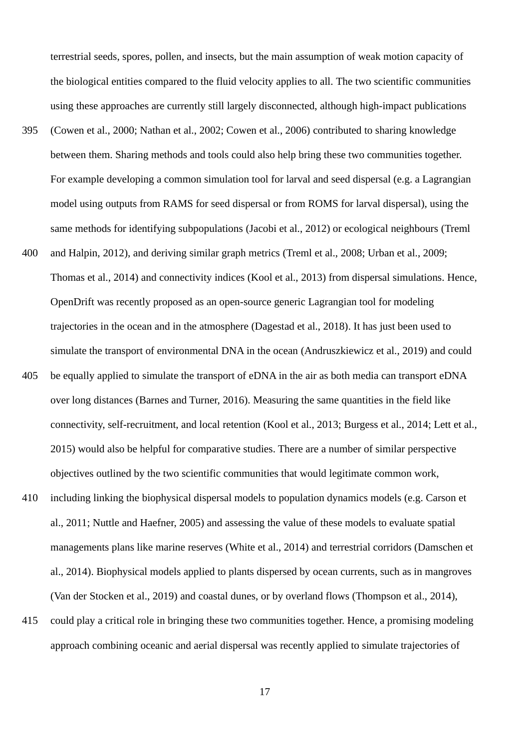terrestrial seeds, spores, pollen, and insects, but the main assumption of weak motion capacity of the biological entities compared to the fluid velocity applies to all. The two scientific communities using these approaches are currently still largely disconnected, although high-impact publications

- (Cowen et al., 2000; Nathan et al., 2002; Cowen et al., 2006) contributed to sharing knowledge between them. Sharing methods and tools could also help bring these two communities together. For example developing a common simulation tool for larval and seed dispersal (e.g. a Lagrangian model using outputs from RAMS for seed dispersal or from ROMS for larval dispersal), using the same methods for identifying subpopulations (Jacobi et al., 2012) or ecological neighbours (Treml 395
- and Halpin, 2012), and deriving similar graph metrics (Treml et al., 2008; Urban et al., 2009; Thomas et al., 2014) and connectivity indices (Kool et al., 2013) from dispersal simulations. Hence, OpenDrift was recently proposed as an open-source generic Lagrangian tool for modeling trajectories in the ocean and in the atmosphere (Dagestad et al., 2018). It has just been used to simulate the transport of environmental DNA in the ocean (Andruszkiewicz et al., 2019) and could 400
- be equally applied to simulate the transport of eDNA in the air as both media can transport eDNA over long distances (Barnes and Turner, 2016). Measuring the same quantities in the field like connectivity, self-recruitment, and local retention (Kool et al., 2013; Burgess et al., 2014; Lett et al., 2015) would also be helpful for comparative studies. There are a number of similar perspective objectives outlined by the two scientific communities that would legitimate common work, 405
- including linking the biophysical dispersal models to population dynamics models (e.g. Carson et al., 2011; Nuttle and Haefner, 2005) and assessing the value of these models to evaluate spatial managements plans like marine reserves (White et al., 2014) and terrestrial corridors (Damschen et al., 2014). Biophysical models applied to plants dispersed by ocean currents, such as in mangroves (Van der Stocken et al., 2019) and coastal dunes, or by overland flows (Thompson et al., 2014), 410
- could play a critical role in bringing these two communities together. Hence, a promising modeling approach combining oceanic and aerial dispersal was recently applied to simulate trajectories of 415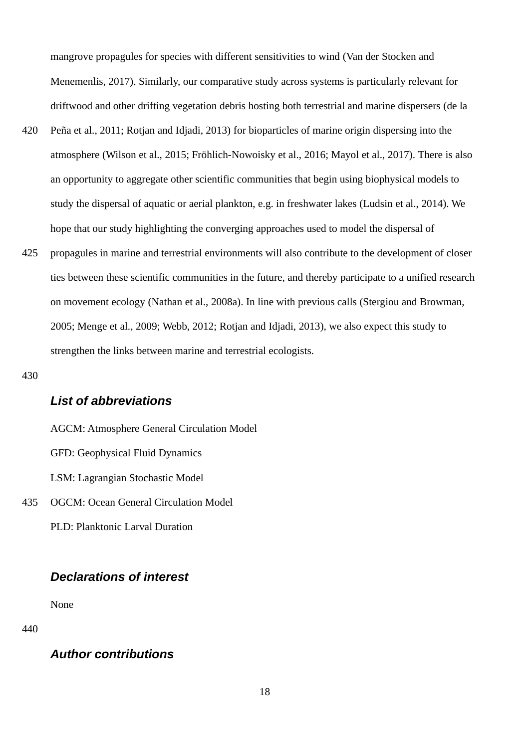mangrove propagules for species with different sensitivities to wind (Van der Stocken and Menemenlis, 2017). Similarly, our comparative study across systems is particularly relevant for driftwood and other drifting vegetation debris hosting both terrestrial and marine dispersers (de la

- Peña et al., 2011; Rotjan and Idjadi, 2013) for bioparticles of marine origin dispersing into the atmosphere (Wilson et al., 2015; Fröhlich-Nowoisky et al., 2016; Mayol et al., 2017). There is also an opportunity to aggregate other scientific communities that begin using biophysical models to study the dispersal of aquatic or aerial plankton, e.g. in freshwater lakes (Ludsin et al., 2014). We hope that our study highlighting the converging approaches used to model the dispersal of 420
- propagules in marine and terrestrial environments will also contribute to the development of closer ties between these scientific communities in the future, and thereby participate to a unified research on movement ecology (Nathan et al., 2008a). In line with previous calls (Stergiou and Browman, 2005; Menge et al., 2009; Webb, 2012; Rotjan and Idjadi, 2013), we also expect this study to strengthen the links between marine and terrestrial ecologists. 425

430

435

#### *List of abbreviations*

AGCM: Atmosphere General Circulation Model GFD: Geophysical Fluid Dynamics LSM: Lagrangian Stochastic Model OGCM: Ocean General Circulation Model PLD: Planktonic Larval Duration

#### *Declarations of interest*

None

440

#### *Author contributions*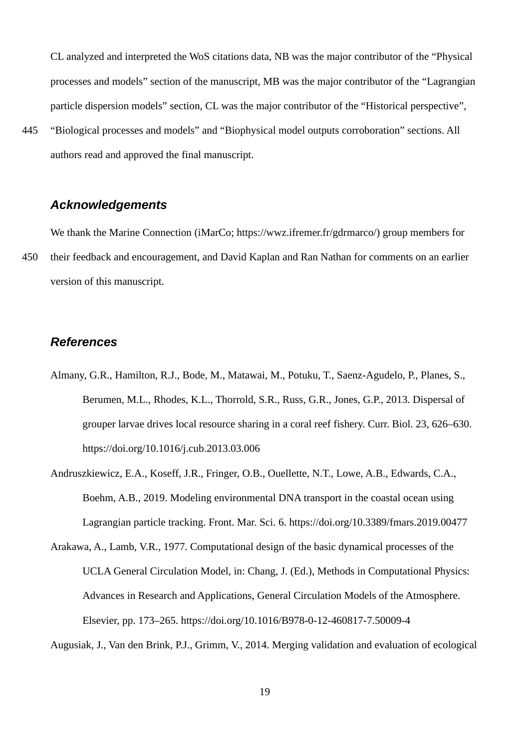CL analyzed and interpreted the WoS citations data, NB was the major contributor of the "Physical processes and models" section of the manuscript, MB was the major contributor of the "Lagrangian particle dispersion models" section, CL was the major contributor of the "Historical perspective",

"Biological processes and models" and "Biophysical model outputs corroboration" sections. All authors read and approved the final manuscript. 445

#### *Acknowledgements*

We thank the Marine Connection (iMarCo; https://wwz.ifremer.fr/gdrmarco/) group members for their feedback and encouragement, and David Kaplan and Ran Nathan for comments on an earlier version of this manuscript. 450

#### *References*

- Almany, G.R., Hamilton, R.J., Bode, M., Matawai, M., Potuku, T., Saenz-Agudelo, P., Planes, S., Berumen, M.L., Rhodes, K.L., Thorrold, S.R., Russ, G.R., Jones, G.P., 2013. Dispersal of grouper larvae drives local resource sharing in a coral reef fishery. Curr. Biol. 23, 626–630. https://doi.org/10.1016/j.cub.2013.03.006
- Andruszkiewicz, E.A., Koseff, J.R., Fringer, O.B., Ouellette, N.T., Lowe, A.B., Edwards, C.A., Boehm, A.B., 2019. Modeling environmental DNA transport in the coastal ocean using Lagrangian particle tracking. Front. Mar. Sci. 6. https://doi.org/10.3389/fmars.2019.00477
- Arakawa, A., Lamb, V.R., 1977. Computational design of the basic dynamical processes of the UCLA General Circulation Model, in: Chang, J. (Ed.), Methods in Computational Physics: Advances in Research and Applications, General Circulation Models of the Atmosphere. Elsevier, pp. 173–265. https://doi.org/10.1016/B978-0-12-460817-7.50009-4

Augusiak, J., Van den Brink, P.J., Grimm, V., 2014. Merging validation and evaluation of ecological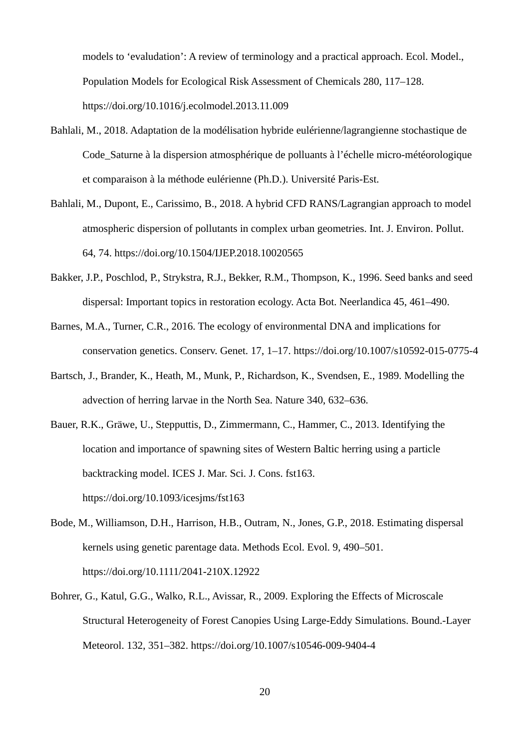models to 'evaludation': A review of terminology and a practical approach. Ecol. Model., Population Models for Ecological Risk Assessment of Chemicals 280, 117–128. https://doi.org/10.1016/j.ecolmodel.2013.11.009

- Bahlali, M., 2018. Adaptation de la modélisation hybride eulérienne/lagrangienne stochastique de Code\_Saturne à la dispersion atmosphérique de polluants à l'échelle micro-météorologique et comparaison à la méthode eulérienne (Ph.D.). Université Paris-Est.
- Bahlali, M., Dupont, E., Carissimo, B., 2018. A hybrid CFD RANS/Lagrangian approach to model atmospheric dispersion of pollutants in complex urban geometries. Int. J. Environ. Pollut. 64, 74. https://doi.org/10.1504/IJEP.2018.10020565
- Bakker, J.P., Poschlod, P., Strykstra, R.J., Bekker, R.M., Thompson, K., 1996. Seed banks and seed dispersal: Important topics in restoration ecology. Acta Bot. Neerlandica 45, 461–490.
- Barnes, M.A., Turner, C.R., 2016. The ecology of environmental DNA and implications for conservation genetics. Conserv. Genet. 17, 1–17. https://doi.org/10.1007/s10592-015-0775-4
- Bartsch, J., Brander, K., Heath, M., Munk, P., Richardson, K., Svendsen, E., 1989. Modelling the advection of herring larvae in the North Sea. Nature 340, 632–636.
- Bauer, R.K., Gräwe, U., Stepputtis, D., Zimmermann, C., Hammer, C., 2013. Identifying the location and importance of spawning sites of Western Baltic herring using a particle backtracking model. ICES J. Mar. Sci. J. Cons. fst163. https://doi.org/10.1093/icesjms/fst163
- Bode, M., Williamson, D.H., Harrison, H.B., Outram, N., Jones, G.P., 2018. Estimating dispersal kernels using genetic parentage data. Methods Ecol. Evol. 9, 490–501. https://doi.org/10.1111/2041-210X.12922
- Bohrer, G., Katul, G.G., Walko, R.L., Avissar, R., 2009. Exploring the Effects of Microscale Structural Heterogeneity of Forest Canopies Using Large-Eddy Simulations. Bound.-Layer Meteorol. 132, 351–382. https://doi.org/10.1007/s10546-009-9404-4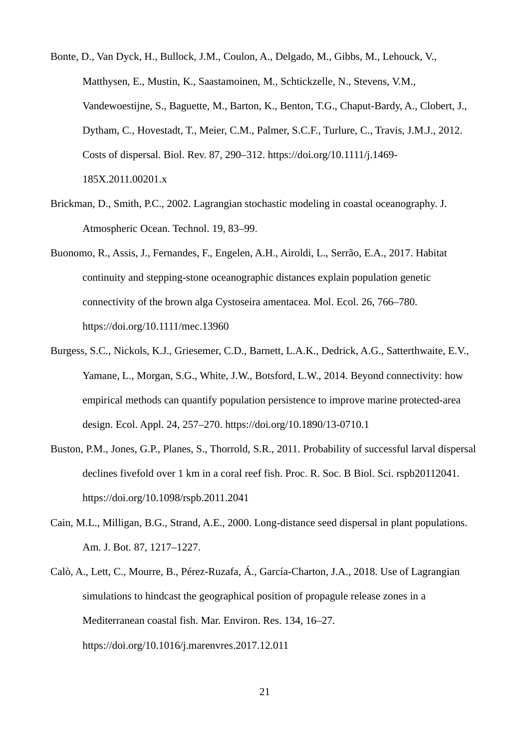- Bonte, D., Van Dyck, H., Bullock, J.M., Coulon, A., Delgado, M., Gibbs, M., Lehouck, V., Matthysen, E., Mustin, K., Saastamoinen, M., Schtickzelle, N., Stevens, V.M., Vandewoestijne, S., Baguette, M., Barton, K., Benton, T.G., Chaput-Bardy, A., Clobert, J., Dytham, C., Hovestadt, T., Meier, C.M., Palmer, S.C.F., Turlure, C., Travis, J.M.J., 2012. Costs of dispersal. Biol. Rev. 87, 290–312. https://doi.org/10.1111/j.1469- 185X.2011.00201.x
- Brickman, D., Smith, P.C., 2002. Lagrangian stochastic modeling in coastal oceanography. J. Atmospheric Ocean. Technol. 19, 83–99.
- Buonomo, R., Assis, J., Fernandes, F., Engelen, A.H., Airoldi, L., Serrão, E.A., 2017. Habitat continuity and stepping-stone oceanographic distances explain population genetic connectivity of the brown alga Cystoseira amentacea. Mol. Ecol. 26, 766–780. https://doi.org/10.1111/mec.13960
- Burgess, S.C., Nickols, K.J., Griesemer, C.D., Barnett, L.A.K., Dedrick, A.G., Satterthwaite, E.V., Yamane, L., Morgan, S.G., White, J.W., Botsford, L.W., 2014. Beyond connectivity: how empirical methods can quantify population persistence to improve marine protected-area design. Ecol. Appl. 24, 257–270. https://doi.org/10.1890/13-0710.1
- Buston, P.M., Jones, G.P., Planes, S., Thorrold, S.R., 2011. Probability of successful larval dispersal declines fivefold over 1 km in a coral reef fish. Proc. R. Soc. B Biol. Sci. rspb20112041. https://doi.org/10.1098/rspb.2011.2041
- Cain, M.L., Milligan, B.G., Strand, A.E., 2000. Long-distance seed dispersal in plant populations. Am. J. Bot. 87, 1217–1227.
- Calò, A., Lett, C., Mourre, B., Pérez-Ruzafa, Á., García-Charton, J.A., 2018. Use of Lagrangian simulations to hindcast the geographical position of propagule release zones in a Mediterranean coastal fish. Mar. Environ. Res. 134, 16–27. https://doi.org/10.1016/j.marenvres.2017.12.011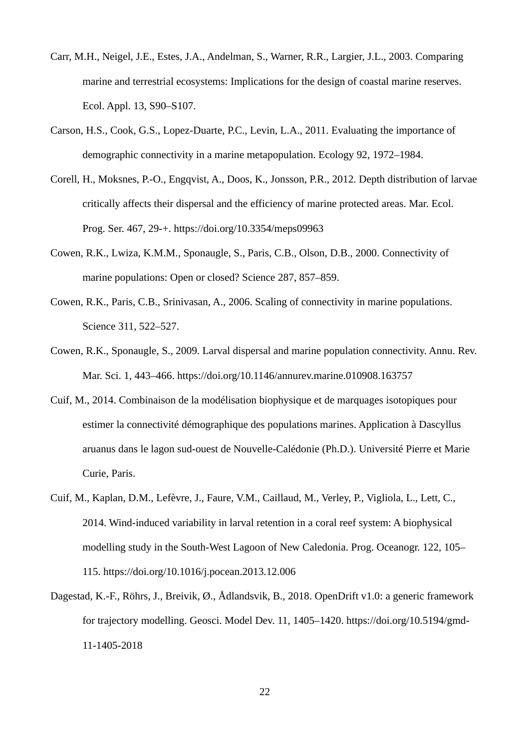- Carr, M.H., Neigel, J.E., Estes, J.A., Andelman, S., Warner, R.R., Largier, J.L., 2003. Comparing marine and terrestrial ecosystems: Implications for the design of coastal marine reserves. Ecol. Appl. 13, S90–S107.
- Carson, H.S., Cook, G.S., Lopez-Duarte, P.C., Levin, L.A., 2011. Evaluating the importance of demographic connectivity in a marine metapopulation. Ecology 92, 1972–1984.
- Corell, H., Moksnes, P.-O., Engqvist, A., Doos, K., Jonsson, P.R., 2012. Depth distribution of larvae critically affects their dispersal and the efficiency of marine protected areas. Mar. Ecol. Prog. Ser. 467, 29-+. https://doi.org/10.3354/meps09963
- Cowen, R.K., Lwiza, K.M.M., Sponaugle, S., Paris, C.B., Olson, D.B., 2000. Connectivity of marine populations: Open or closed? Science 287, 857–859.
- Cowen, R.K., Paris, C.B., Srinivasan, A., 2006. Scaling of connectivity in marine populations. Science 311, 522–527.
- Cowen, R.K., Sponaugle, S., 2009. Larval dispersal and marine population connectivity. Annu. Rev. Mar. Sci. 1, 443–466. https://doi.org/10.1146/annurev.marine.010908.163757
- Cuif, M., 2014. Combinaison de la modélisation biophysique et de marquages isotopiques pour estimer la connectivité démographique des populations marines. Application à Dascyllus aruanus dans le lagon sud-ouest de Nouvelle-Calédonie (Ph.D.). Université Pierre et Marie Curie, Paris.
- Cuif, M., Kaplan, D.M., Lefèvre, J., Faure, V.M., Caillaud, M., Verley, P., Vigliola, L., Lett, C., 2014. Wind-induced variability in larval retention in a coral reef system: A biophysical modelling study in the South-West Lagoon of New Caledonia. Prog. Oceanogr. 122, 105– 115. https://doi.org/10.1016/j.pocean.2013.12.006
- Dagestad, K.-F., Röhrs, J., Breivik, Ø., Ådlandsvik, B., 2018. OpenDrift v1.0: a generic framework for trajectory modelling. Geosci. Model Dev. 11, 1405–1420. https://doi.org/10.5194/gmd-11-1405-2018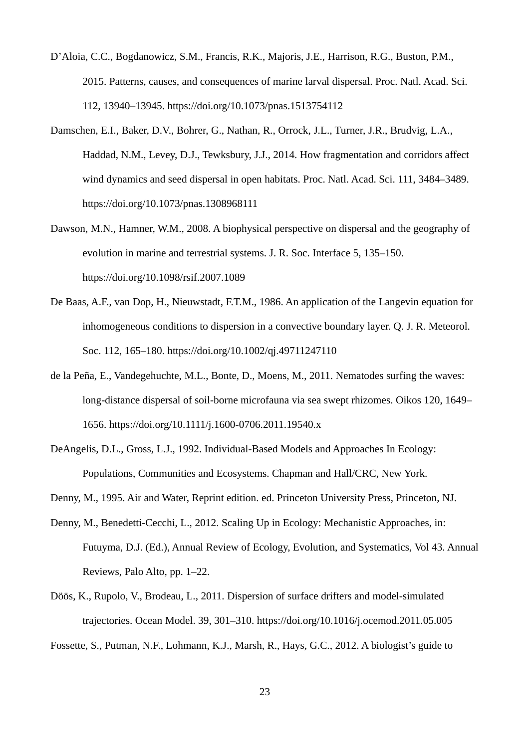- D'Aloia, C.C., Bogdanowicz, S.M., Francis, R.K., Majoris, J.E., Harrison, R.G., Buston, P.M., 2015. Patterns, causes, and consequences of marine larval dispersal. Proc. Natl. Acad. Sci. 112, 13940–13945. https://doi.org/10.1073/pnas.1513754112
- Damschen, E.I., Baker, D.V., Bohrer, G., Nathan, R., Orrock, J.L., Turner, J.R., Brudvig, L.A., Haddad, N.M., Levey, D.J., Tewksbury, J.J., 2014. How fragmentation and corridors affect wind dynamics and seed dispersal in open habitats. Proc. Natl. Acad. Sci. 111, 3484–3489. https://doi.org/10.1073/pnas.1308968111
- Dawson, M.N., Hamner, W.M., 2008. A biophysical perspective on dispersal and the geography of evolution in marine and terrestrial systems. J. R. Soc. Interface 5, 135–150. https://doi.org/10.1098/rsif.2007.1089
- De Baas, A.F., van Dop, H., Nieuwstadt, F.T.M., 1986. An application of the Langevin equation for inhomogeneous conditions to dispersion in a convective boundary layer. Q. J. R. Meteorol. Soc. 112, 165–180. https://doi.org/10.1002/qj.49711247110
- de la Peña, E., Vandegehuchte, M.L., Bonte, D., Moens, M., 2011. Nematodes surfing the waves: long-distance dispersal of soil-borne microfauna via sea swept rhizomes. Oikos 120, 1649– 1656. https://doi.org/10.1111/j.1600-0706.2011.19540.x
- DeAngelis, D.L., Gross, L.J., 1992. Individual-Based Models and Approaches In Ecology: Populations, Communities and Ecosystems. Chapman and Hall/CRC, New York.
- Denny, M., 1995. Air and Water, Reprint edition. ed. Princeton University Press, Princeton, NJ.
- Denny, M., Benedetti-Cecchi, L., 2012. Scaling Up in Ecology: Mechanistic Approaches, in: Futuyma, D.J. (Ed.), Annual Review of Ecology, Evolution, and Systematics, Vol 43. Annual Reviews, Palo Alto, pp. 1–22.
- Döös, K., Rupolo, V., Brodeau, L., 2011. Dispersion of surface drifters and model-simulated trajectories. Ocean Model. 39, 301–310. https://doi.org/10.1016/j.ocemod.2011.05.005
- Fossette, S., Putman, N.F., Lohmann, K.J., Marsh, R., Hays, G.C., 2012. A biologist's guide to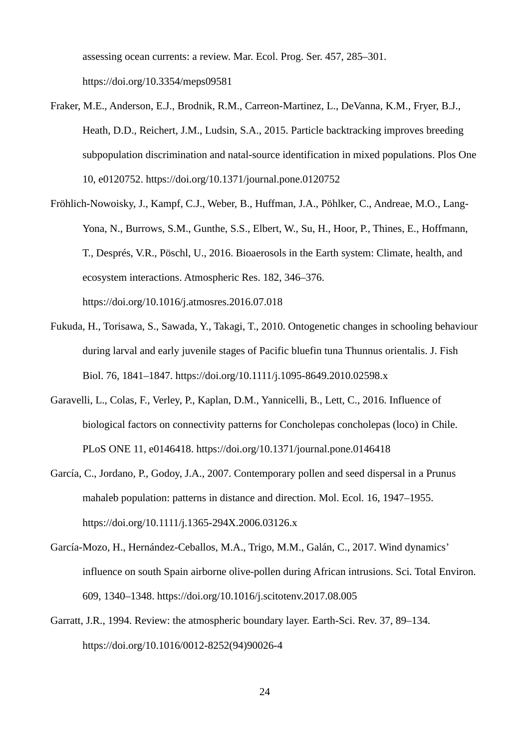assessing ocean currents: a review. Mar. Ecol. Prog. Ser. 457, 285–301. https://doi.org/10.3354/meps09581

- Fraker, M.E., Anderson, E.J., Brodnik, R.M., Carreon-Martinez, L., DeVanna, K.M., Fryer, B.J., Heath, D.D., Reichert, J.M., Ludsin, S.A., 2015. Particle backtracking improves breeding subpopulation discrimination and natal-source identification in mixed populations. Plos One 10, e0120752. https://doi.org/10.1371/journal.pone.0120752
- Fröhlich-Nowoisky, J., Kampf, C.J., Weber, B., Huffman, J.A., Pöhlker, C., Andreae, M.O., Lang-Yona, N., Burrows, S.M., Gunthe, S.S., Elbert, W., Su, H., Hoor, P., Thines, E., Hoffmann, T., Després, V.R., Pöschl, U., 2016. Bioaerosols in the Earth system: Climate, health, and ecosystem interactions. Atmospheric Res. 182, 346–376. https://doi.org/10.1016/j.atmosres.2016.07.018
- Fukuda, H., Torisawa, S., Sawada, Y., Takagi, T., 2010. Ontogenetic changes in schooling behaviour during larval and early juvenile stages of Pacific bluefin tuna Thunnus orientalis. J. Fish Biol. 76, 1841–1847. https://doi.org/10.1111/j.1095-8649.2010.02598.x
- Garavelli, L., Colas, F., Verley, P., Kaplan, D.M., Yannicelli, B., Lett, C., 2016. Influence of biological factors on connectivity patterns for Concholepas concholepas (loco) in Chile. PLoS ONE 11, e0146418. https://doi.org/10.1371/journal.pone.0146418
- García, C., Jordano, P., Godoy, J.A., 2007. Contemporary pollen and seed dispersal in a Prunus mahaleb population: patterns in distance and direction. Mol. Ecol. 16, 1947–1955. https://doi.org/10.1111/j.1365-294X.2006.03126.x
- García-Mozo, H., Hernández-Ceballos, M.A., Trigo, M.M., Galán, C., 2017. Wind dynamics' influence on south Spain airborne olive-pollen during African intrusions. Sci. Total Environ. 609, 1340–1348. https://doi.org/10.1016/j.scitotenv.2017.08.005
- Garratt, J.R., 1994. Review: the atmospheric boundary layer. Earth-Sci. Rev. 37, 89–134. https://doi.org/10.1016/0012-8252(94)90026-4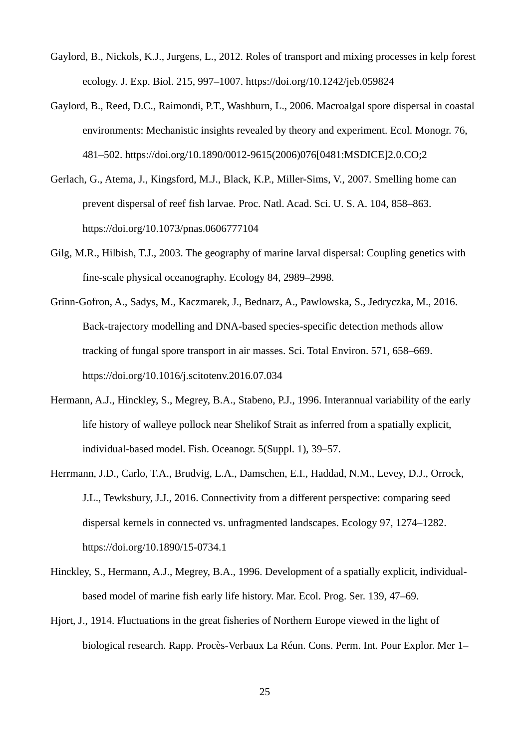- Gaylord, B., Nickols, K.J., Jurgens, L., 2012. Roles of transport and mixing processes in kelp forest ecology. J. Exp. Biol. 215, 997–1007. https://doi.org/10.1242/jeb.059824
- Gaylord, B., Reed, D.C., Raimondi, P.T., Washburn, L., 2006. Macroalgal spore dispersal in coastal environments: Mechanistic insights revealed by theory and experiment. Ecol. Monogr. 76, 481–502. https://doi.org/10.1890/0012-9615(2006)076[0481:MSDICE]2.0.CO;2
- Gerlach, G., Atema, J., Kingsford, M.J., Black, K.P., Miller-Sims, V., 2007. Smelling home can prevent dispersal of reef fish larvae. Proc. Natl. Acad. Sci. U. S. A. 104, 858–863. https://doi.org/10.1073/pnas.0606777104
- Gilg, M.R., Hilbish, T.J., 2003. The geography of marine larval dispersal: Coupling genetics with fine-scale physical oceanography. Ecology 84, 2989–2998.
- Grinn-Gofron, A., Sadys, M., Kaczmarek, J., Bednarz, A., Pawlowska, S., Jedryczka, M., 2016. Back-trajectory modelling and DNA-based species-specific detection methods allow tracking of fungal spore transport in air masses. Sci. Total Environ. 571, 658–669. https://doi.org/10.1016/j.scitotenv.2016.07.034
- Hermann, A.J., Hinckley, S., Megrey, B.A., Stabeno, P.J., 1996. Interannual variability of the early life history of walleye pollock near Shelikof Strait as inferred from a spatially explicit, individual-based model. Fish. Oceanogr. 5(Suppl. 1), 39–57.
- Herrmann, J.D., Carlo, T.A., Brudvig, L.A., Damschen, E.I., Haddad, N.M., Levey, D.J., Orrock, J.L., Tewksbury, J.J., 2016. Connectivity from a different perspective: comparing seed dispersal kernels in connected vs. unfragmented landscapes. Ecology 97, 1274–1282. https://doi.org/10.1890/15-0734.1
- Hinckley, S., Hermann, A.J., Megrey, B.A., 1996. Development of a spatially explicit, individualbased model of marine fish early life history. Mar. Ecol. Prog. Ser. 139, 47–69.
- Hjort, J., 1914. Fluctuations in the great fisheries of Northern Europe viewed in the light of biological research. Rapp. Procès-Verbaux La Réun. Cons. Perm. Int. Pour Explor. Mer 1–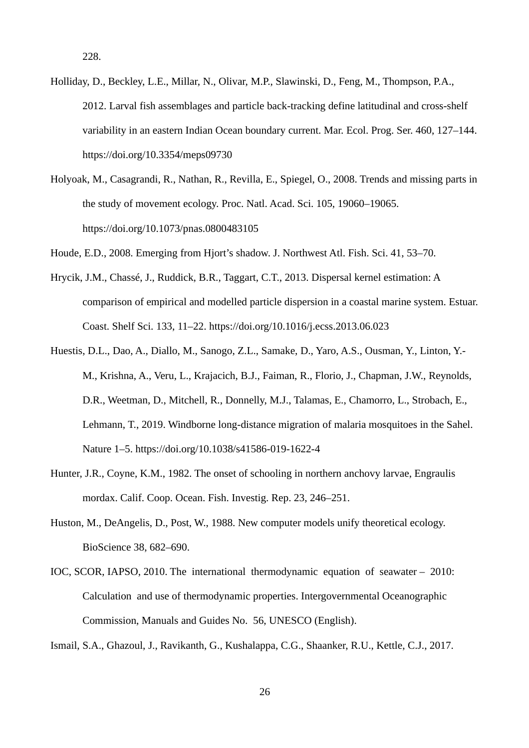- Holliday, D., Beckley, L.E., Millar, N., Olivar, M.P., Slawinski, D., Feng, M., Thompson, P.A., 2012. Larval fish assemblages and particle back-tracking define latitudinal and cross-shelf variability in an eastern Indian Ocean boundary current. Mar. Ecol. Prog. Ser. 460, 127–144. https://doi.org/10.3354/meps09730
- Holyoak, M., Casagrandi, R., Nathan, R., Revilla, E., Spiegel, O., 2008. Trends and missing parts in the study of movement ecology. Proc. Natl. Acad. Sci. 105, 19060–19065. https://doi.org/10.1073/pnas.0800483105
- Houde, E.D., 2008. Emerging from Hjort's shadow. J. Northwest Atl. Fish. Sci. 41, 53–70.
- Hrycik, J.M., Chassé, J., Ruddick, B.R., Taggart, C.T., 2013. Dispersal kernel estimation: A comparison of empirical and modelled particle dispersion in a coastal marine system. Estuar. Coast. Shelf Sci. 133, 11–22. https://doi.org/10.1016/j.ecss.2013.06.023
- Huestis, D.L., Dao, A., Diallo, M., Sanogo, Z.L., Samake, D., Yaro, A.S., Ousman, Y., Linton, Y.- M., Krishna, A., Veru, L., Krajacich, B.J., Faiman, R., Florio, J., Chapman, J.W., Reynolds, D.R., Weetman, D., Mitchell, R., Donnelly, M.J., Talamas, E., Chamorro, L., Strobach, E., Lehmann, T., 2019. Windborne long-distance migration of malaria mosquitoes in the Sahel. Nature 1–5. https://doi.org/10.1038/s41586-019-1622-4
- Hunter, J.R., Coyne, K.M., 1982. The onset of schooling in northern anchovy larvae, Engraulis mordax. Calif. Coop. Ocean. Fish. Investig. Rep. 23, 246–251.
- Huston, M., DeAngelis, D., Post, W., 1988. New computer models unify theoretical ecology. BioScience 38, 682–690.
- IOC, SCOR, IAPSO, 2010. The international thermodynamic equation of seawater 2010: Calculation and use of thermodynamic properties. Intergovernmental Oceanographic Commission, Manuals and Guides No. 56, UNESCO (English).

Ismail, S.A., Ghazoul, J., Ravikanth, G., Kushalappa, C.G., Shaanker, R.U., Kettle, C.J., 2017.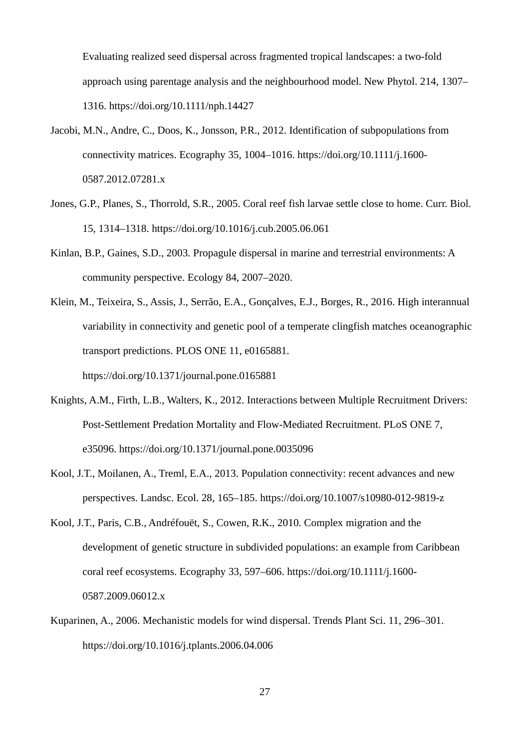Evaluating realized seed dispersal across fragmented tropical landscapes: a two-fold approach using parentage analysis and the neighbourhood model. New Phytol. 214, 1307– 1316. https://doi.org/10.1111/nph.14427

- Jacobi, M.N., Andre, C., Doos, K., Jonsson, P.R., 2012. Identification of subpopulations from connectivity matrices. Ecography 35, 1004–1016. https://doi.org/10.1111/j.1600- 0587.2012.07281.x
- Jones, G.P., Planes, S., Thorrold, S.R., 2005. Coral reef fish larvae settle close to home. Curr. Biol. 15, 1314–1318. https://doi.org/10.1016/j.cub.2005.06.061
- Kinlan, B.P., Gaines, S.D., 2003. Propagule dispersal in marine and terrestrial environments: A community perspective. Ecology 84, 2007–2020.
- Klein, M., Teixeira, S., Assis, J., Serrão, E.A., Gonçalves, E.J., Borges, R., 2016. High interannual variability in connectivity and genetic pool of a temperate clingfish matches oceanographic transport predictions. PLOS ONE 11, e0165881. https://doi.org/10.1371/journal.pone.0165881
- Knights, A.M., Firth, L.B., Walters, K., 2012. Interactions between Multiple Recruitment Drivers: Post-Settlement Predation Mortality and Flow-Mediated Recruitment. PLoS ONE 7, e35096. https://doi.org/10.1371/journal.pone.0035096
- Kool, J.T., Moilanen, A., Treml, E.A., 2013. Population connectivity: recent advances and new perspectives. Landsc. Ecol. 28, 165–185. https://doi.org/10.1007/s10980-012-9819-z
- Kool, J.T., Paris, C.B., Andréfouët, S., Cowen, R.K., 2010. Complex migration and the development of genetic structure in subdivided populations: an example from Caribbean coral reef ecosystems. Ecography 33, 597–606. https://doi.org/10.1111/j.1600- 0587.2009.06012.x
- Kuparinen, A., 2006. Mechanistic models for wind dispersal. Trends Plant Sci. 11, 296–301. https://doi.org/10.1016/j.tplants.2006.04.006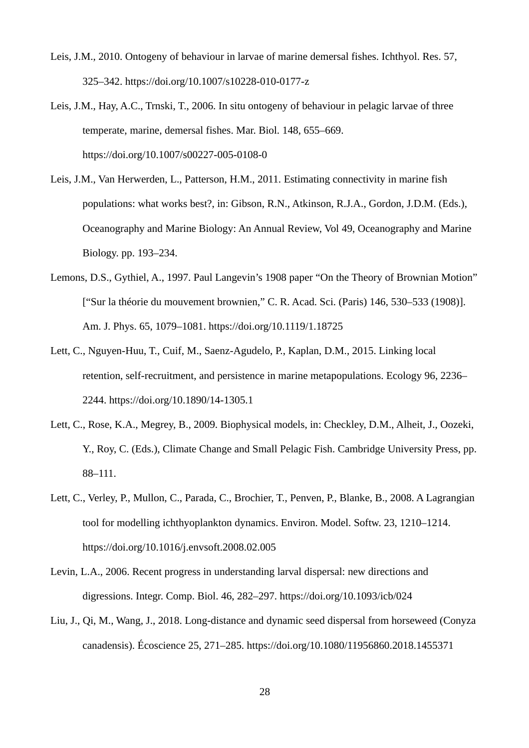- Leis, J.M., 2010. Ontogeny of behaviour in larvae of marine demersal fishes. Ichthyol. Res. 57, 325–342. https://doi.org/10.1007/s10228-010-0177-z
- Leis, J.M., Hay, A.C., Trnski, T., 2006. In situ ontogeny of behaviour in pelagic larvae of three temperate, marine, demersal fishes. Mar. Biol. 148, 655–669. https://doi.org/10.1007/s00227-005-0108-0
- Leis, J.M., Van Herwerden, L., Patterson, H.M., 2011. Estimating connectivity in marine fish populations: what works best?, in: Gibson, R.N., Atkinson, R.J.A., Gordon, J.D.M. (Eds.), Oceanography and Marine Biology: An Annual Review, Vol 49, Oceanography and Marine Biology. pp. 193–234.
- Lemons, D.S., Gythiel, A., 1997. Paul Langevin's 1908 paper "On the Theory of Brownian Motion" ["Sur la théorie du mouvement brownien," C. R. Acad. Sci. (Paris) 146, 530–533 (1908)]. Am. J. Phys. 65, 1079–1081. https://doi.org/10.1119/1.18725
- Lett, C., Nguyen-Huu, T., Cuif, M., Saenz-Agudelo, P., Kaplan, D.M., 2015. Linking local retention, self-recruitment, and persistence in marine metapopulations. Ecology 96, 2236– 2244. https://doi.org/10.1890/14-1305.1
- Lett, C., Rose, K.A., Megrey, B., 2009. Biophysical models, in: Checkley, D.M., Alheit, J., Oozeki, Y., Roy, C. (Eds.), Climate Change and Small Pelagic Fish. Cambridge University Press, pp. 88–111.
- Lett, C., Verley, P., Mullon, C., Parada, C., Brochier, T., Penven, P., Blanke, B., 2008. A Lagrangian tool for modelling ichthyoplankton dynamics. Environ. Model. Softw. 23, 1210–1214. https://doi.org/10.1016/j.envsoft.2008.02.005
- Levin, L.A., 2006. Recent progress in understanding larval dispersal: new directions and digressions. Integr. Comp. Biol. 46, 282–297. https://doi.org/10.1093/icb/024
- Liu, J., Qi, M., Wang, J., 2018. Long-distance and dynamic seed dispersal from horseweed (Conyza canadensis). Écoscience 25, 271–285. https://doi.org/10.1080/11956860.2018.1455371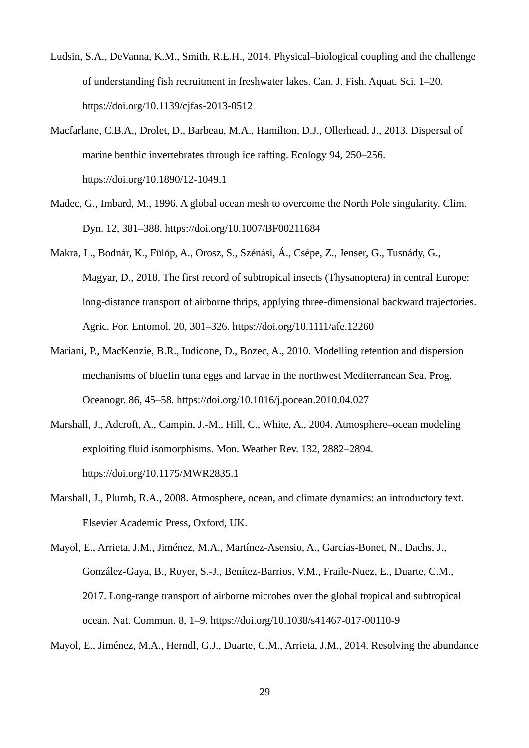- Ludsin, S.A., DeVanna, K.M., Smith, R.E.H., 2014. Physical–biological coupling and the challenge of understanding fish recruitment in freshwater lakes. Can. J. Fish. Aquat. Sci. 1–20. https://doi.org/10.1139/cjfas-2013-0512
- Macfarlane, C.B.A., Drolet, D., Barbeau, M.A., Hamilton, D.J., Ollerhead, J., 2013. Dispersal of marine benthic invertebrates through ice rafting. Ecology 94, 250–256. https://doi.org/10.1890/12-1049.1
- Madec, G., Imbard, M., 1996. A global ocean mesh to overcome the North Pole singularity. Clim. Dyn. 12, 381–388. https://doi.org/10.1007/BF00211684
- Makra, L., Bodnár, K., Fülöp, A., Orosz, S., Szénási, Á., Csépe, Z., Jenser, G., Tusnády, G., Magyar, D., 2018. The first record of subtropical insects (Thysanoptera) in central Europe: long-distance transport of airborne thrips, applying three-dimensional backward trajectories. Agric. For. Entomol. 20, 301–326. https://doi.org/10.1111/afe.12260
- Mariani, P., MacKenzie, B.R., Iudicone, D., Bozec, A., 2010. Modelling retention and dispersion mechanisms of bluefin tuna eggs and larvae in the northwest Mediterranean Sea. Prog. Oceanogr. 86, 45–58. https://doi.org/10.1016/j.pocean.2010.04.027
- Marshall, J., Adcroft, A., Campin, J.-M., Hill, C., White, A., 2004. Atmosphere–ocean modeling exploiting fluid isomorphisms. Mon. Weather Rev. 132, 2882–2894. https://doi.org/10.1175/MWR2835.1
- Marshall, J., Plumb, R.A., 2008. Atmosphere, ocean, and climate dynamics: an introductory text. Elsevier Academic Press, Oxford, UK.
- Mayol, E., Arrieta, J.M., Jiménez, M.A., Martínez-Asensio, A., Garcias-Bonet, N., Dachs, J., González-Gaya, B., Royer, S.-J., Benítez-Barrios, V.M., Fraile-Nuez, E., Duarte, C.M., 2017. Long-range transport of airborne microbes over the global tropical and subtropical ocean. Nat. Commun. 8, 1–9. https://doi.org/10.1038/s41467-017-00110-9

Mayol, E., Jiménez, M.A., Herndl, G.J., Duarte, C.M., Arrieta, J.M., 2014. Resolving the abundance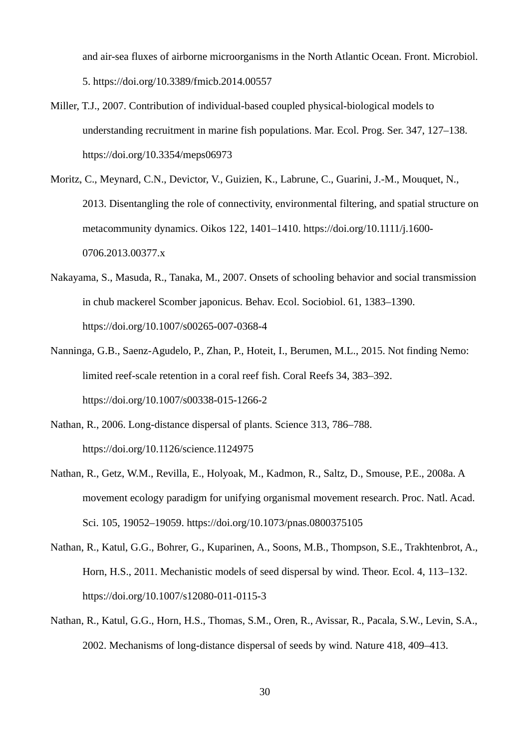and air-sea fluxes of airborne microorganisms in the North Atlantic Ocean. Front. Microbiol. 5. https://doi.org/10.3389/fmicb.2014.00557

- Miller, T.J., 2007. Contribution of individual-based coupled physical-biological models to understanding recruitment in marine fish populations. Mar. Ecol. Prog. Ser. 347, 127–138. https://doi.org/10.3354/meps06973
- Moritz, C., Meynard, C.N., Devictor, V., Guizien, K., Labrune, C., Guarini, J.-M., Mouquet, N., 2013. Disentangling the role of connectivity, environmental filtering, and spatial structure on metacommunity dynamics. Oikos 122, 1401–1410. https://doi.org/10.1111/j.1600- 0706.2013.00377.x
- Nakayama, S., Masuda, R., Tanaka, M., 2007. Onsets of schooling behavior and social transmission in chub mackerel Scomber japonicus. Behav. Ecol. Sociobiol. 61, 1383–1390. https://doi.org/10.1007/s00265-007-0368-4
- Nanninga, G.B., Saenz-Agudelo, P., Zhan, P., Hoteit, I., Berumen, M.L., 2015. Not finding Nemo: limited reef-scale retention in a coral reef fish. Coral Reefs 34, 383–392. https://doi.org/10.1007/s00338-015-1266-2
- Nathan, R., 2006. Long-distance dispersal of plants. Science 313, 786–788. https://doi.org/10.1126/science.1124975
- Nathan, R., Getz, W.M., Revilla, E., Holyoak, M., Kadmon, R., Saltz, D., Smouse, P.E., 2008a. A movement ecology paradigm for unifying organismal movement research. Proc. Natl. Acad. Sci. 105, 19052–19059. https://doi.org/10.1073/pnas.0800375105
- Nathan, R., Katul, G.G., Bohrer, G., Kuparinen, A., Soons, M.B., Thompson, S.E., Trakhtenbrot, A., Horn, H.S., 2011. Mechanistic models of seed dispersal by wind. Theor. Ecol. 4, 113–132. https://doi.org/10.1007/s12080-011-0115-3
- Nathan, R., Katul, G.G., Horn, H.S., Thomas, S.M., Oren, R., Avissar, R., Pacala, S.W., Levin, S.A., 2002. Mechanisms of long-distance dispersal of seeds by wind. Nature 418, 409–413.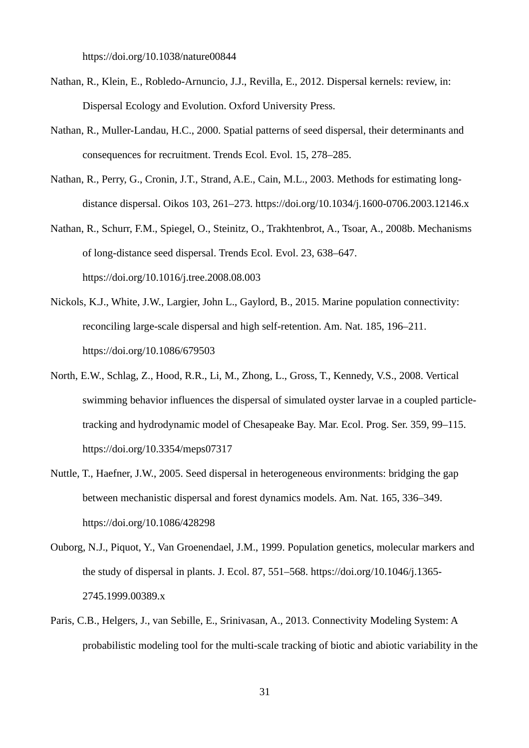https://doi.org/10.1038/nature00844

- Nathan, R., Klein, E., Robledo-Arnuncio, J.J., Revilla, E., 2012. Dispersal kernels: review, in: Dispersal Ecology and Evolution. Oxford University Press.
- Nathan, R., Muller-Landau, H.C., 2000. Spatial patterns of seed dispersal, their determinants and consequences for recruitment. Trends Ecol. Evol. 15, 278–285.
- Nathan, R., Perry, G., Cronin, J.T., Strand, A.E., Cain, M.L., 2003. Methods for estimating longdistance dispersal. Oikos 103, 261–273. https://doi.org/10.1034/j.1600-0706.2003.12146.x
- Nathan, R., Schurr, F.M., Spiegel, O., Steinitz, O., Trakhtenbrot, A., Tsoar, A., 2008b. Mechanisms of long-distance seed dispersal. Trends Ecol. Evol. 23, 638–647. https://doi.org/10.1016/j.tree.2008.08.003
- Nickols, K.J., White, J.W., Largier, John L., Gaylord, B., 2015. Marine population connectivity: reconciling large-scale dispersal and high self-retention. Am. Nat. 185, 196–211. https://doi.org/10.1086/679503
- North, E.W., Schlag, Z., Hood, R.R., Li, M., Zhong, L., Gross, T., Kennedy, V.S., 2008. Vertical swimming behavior influences the dispersal of simulated oyster larvae in a coupled particletracking and hydrodynamic model of Chesapeake Bay. Mar. Ecol. Prog. Ser. 359, 99–115. https://doi.org/10.3354/meps07317
- Nuttle, T., Haefner, J.W., 2005. Seed dispersal in heterogeneous environments: bridging the gap between mechanistic dispersal and forest dynamics models. Am. Nat. 165, 336–349. https://doi.org/10.1086/428298
- Ouborg, N.J., Piquot, Y., Van Groenendael, J.M., 1999. Population genetics, molecular markers and the study of dispersal in plants. J. Ecol. 87, 551–568. https://doi.org/10.1046/j.1365- 2745.1999.00389.x
- Paris, C.B., Helgers, J., van Sebille, E., Srinivasan, A., 2013. Connectivity Modeling System: A probabilistic modeling tool for the multi-scale tracking of biotic and abiotic variability in the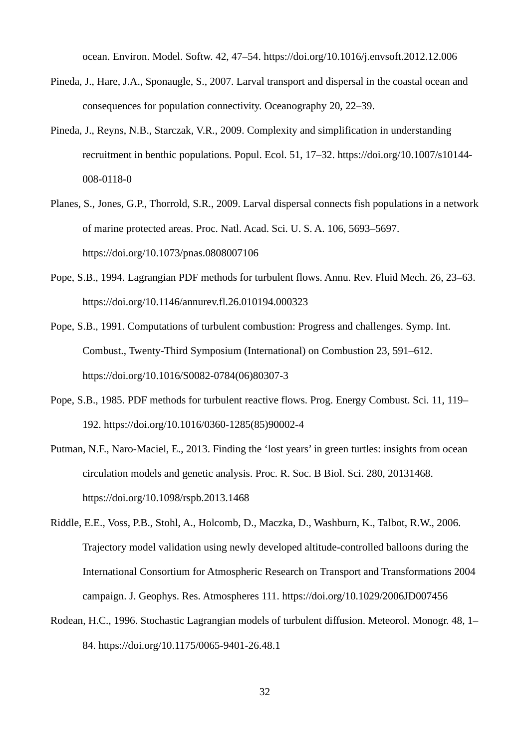ocean. Environ. Model. Softw. 42, 47–54. https://doi.org/10.1016/j.envsoft.2012.12.006

- Pineda, J., Hare, J.A., Sponaugle, S., 2007. Larval transport and dispersal in the coastal ocean and consequences for population connectivity. Oceanography 20, 22–39.
- Pineda, J., Reyns, N.B., Starczak, V.R., 2009. Complexity and simplification in understanding recruitment in benthic populations. Popul. Ecol. 51, 17–32. https://doi.org/10.1007/s10144- 008-0118-0
- Planes, S., Jones, G.P., Thorrold, S.R., 2009. Larval dispersal connects fish populations in a network of marine protected areas. Proc. Natl. Acad. Sci. U. S. A. 106, 5693–5697. https://doi.org/10.1073/pnas.0808007106
- Pope, S.B., 1994. Lagrangian PDF methods for turbulent flows. Annu. Rev. Fluid Mech. 26, 23–63. https://doi.org/10.1146/annurev.fl.26.010194.000323
- Pope, S.B., 1991. Computations of turbulent combustion: Progress and challenges. Symp. Int. Combust., Twenty-Third Symposium (International) on Combustion 23, 591–612. https://doi.org/10.1016/S0082-0784(06)80307-3
- Pope, S.B., 1985. PDF methods for turbulent reactive flows. Prog. Energy Combust. Sci. 11, 119– 192. https://doi.org/10.1016/0360-1285(85)90002-4
- Putman, N.F., Naro-Maciel, E., 2013. Finding the 'lost years' in green turtles: insights from ocean circulation models and genetic analysis. Proc. R. Soc. B Biol. Sci. 280, 20131468. https://doi.org/10.1098/rspb.2013.1468
- Riddle, E.E., Voss, P.B., Stohl, A., Holcomb, D., Maczka, D., Washburn, K., Talbot, R.W., 2006. Trajectory model validation using newly developed altitude-controlled balloons during the International Consortium for Atmospheric Research on Transport and Transformations 2004 campaign. J. Geophys. Res. Atmospheres 111. https://doi.org/10.1029/2006JD007456
- Rodean, H.C., 1996. Stochastic Lagrangian models of turbulent diffusion. Meteorol. Monogr. 48, 1– 84. https://doi.org/10.1175/0065-9401-26.48.1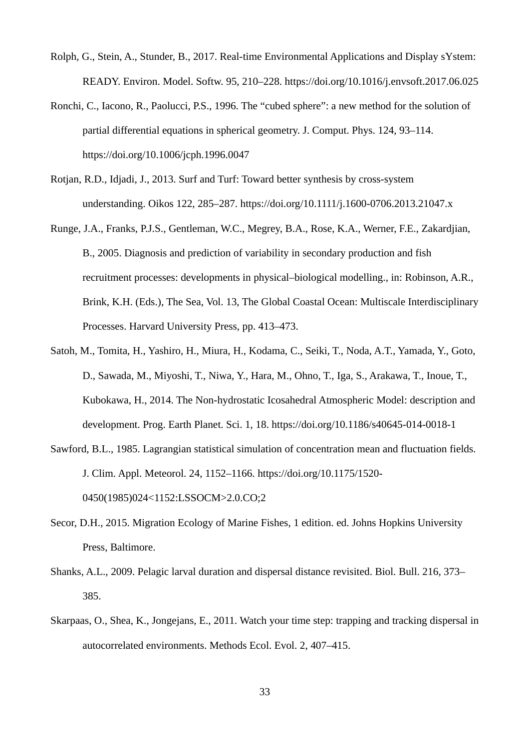- Rolph, G., Stein, A., Stunder, B., 2017. Real-time Environmental Applications and Display sYstem: READY. Environ. Model. Softw. 95, 210–228. https://doi.org/10.1016/j.envsoft.2017.06.025
- Ronchi, C., Iacono, R., Paolucci, P.S., 1996. The "cubed sphere": a new method for the solution of partial differential equations in spherical geometry. J. Comput. Phys. 124, 93–114. https://doi.org/10.1006/jcph.1996.0047
- Rotjan, R.D., Idjadi, J., 2013. Surf and Turf: Toward better synthesis by cross-system understanding. Oikos 122, 285–287. https://doi.org/10.1111/j.1600-0706.2013.21047.x
- Runge, J.A., Franks, P.J.S., Gentleman, W.C., Megrey, B.A., Rose, K.A., Werner, F.E., Zakardjian, B., 2005. Diagnosis and prediction of variability in secondary production and fish recruitment processes: developments in physical–biological modelling., in: Robinson, A.R., Brink, K.H. (Eds.), The Sea, Vol. 13, The Global Coastal Ocean: Multiscale Interdisciplinary Processes. Harvard University Press, pp. 413–473.
- Satoh, M., Tomita, H., Yashiro, H., Miura, H., Kodama, C., Seiki, T., Noda, A.T., Yamada, Y., Goto, D., Sawada, M., Miyoshi, T., Niwa, Y., Hara, M., Ohno, T., Iga, S., Arakawa, T., Inoue, T., Kubokawa, H., 2014. The Non-hydrostatic Icosahedral Atmospheric Model: description and development. Prog. Earth Planet. Sci. 1, 18. https://doi.org/10.1186/s40645-014-0018-1
- Sawford, B.L., 1985. Lagrangian statistical simulation of concentration mean and fluctuation fields. J. Clim. Appl. Meteorol. 24, 1152–1166. https://doi.org/10.1175/1520- 0450(1985)024<1152:LSSOCM>2.0.CO;2
- Secor, D.H., 2015. Migration Ecology of Marine Fishes, 1 edition. ed. Johns Hopkins University Press, Baltimore.
- Shanks, A.L., 2009. Pelagic larval duration and dispersal distance revisited. Biol. Bull. 216, 373– 385.
- Skarpaas, O., Shea, K., Jongejans, E., 2011. Watch your time step: trapping and tracking dispersal in autocorrelated environments. Methods Ecol. Evol. 2, 407–415.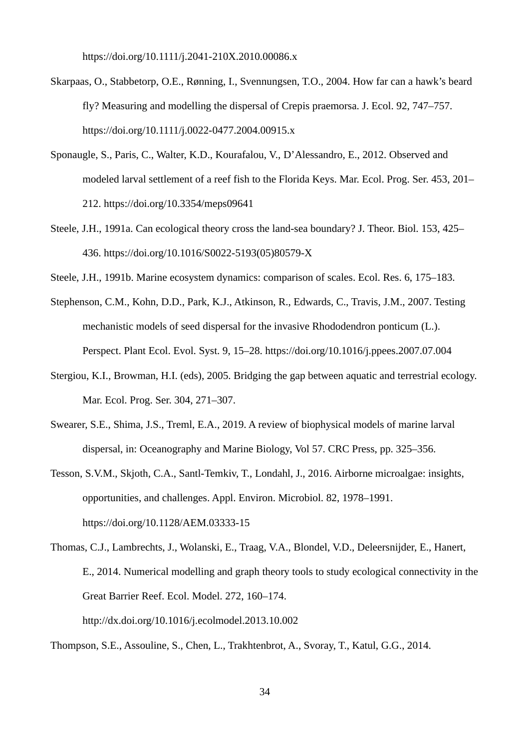https://doi.org/10.1111/j.2041-210X.2010.00086.x

- Skarpaas, O., Stabbetorp, O.E., Rønning, I., Svennungsen, T.O., 2004. How far can a hawk's beard fly? Measuring and modelling the dispersal of Crepis praemorsa. J. Ecol. 92, 747–757. https://doi.org/10.1111/j.0022-0477.2004.00915.x
- Sponaugle, S., Paris, C., Walter, K.D., Kourafalou, V., D'Alessandro, E., 2012. Observed and modeled larval settlement of a reef fish to the Florida Keys. Mar. Ecol. Prog. Ser. 453, 201– 212. https://doi.org/10.3354/meps09641
- Steele, J.H., 1991a. Can ecological theory cross the land-sea boundary? J. Theor. Biol. 153, 425– 436. https://doi.org/10.1016/S0022-5193(05)80579-X
- Steele, J.H., 1991b. Marine ecosystem dynamics: comparison of scales. Ecol. Res. 6, 175–183.
- Stephenson, C.M., Kohn, D.D., Park, K.J., Atkinson, R., Edwards, C., Travis, J.M., 2007. Testing mechanistic models of seed dispersal for the invasive Rhododendron ponticum (L.). Perspect. Plant Ecol. Evol. Syst. 9, 15–28. https://doi.org/10.1016/j.ppees.2007.07.004
- Stergiou, K.I., Browman, H.I. (eds), 2005. Bridging the gap between aquatic and terrestrial ecology. Mar. Ecol. Prog. Ser. 304, 271–307.
- Swearer, S.E., Shima, J.S., Treml, E.A., 2019. A review of biophysical models of marine larval dispersal, in: Oceanography and Marine Biology, Vol 57. CRC Press, pp. 325–356.
- Tesson, S.V.M., Skjoth, C.A., Santl-Temkiv, T., Londahl, J., 2016. Airborne microalgae: insights, opportunities, and challenges. Appl. Environ. Microbiol. 82, 1978–1991. https://doi.org/10.1128/AEM.03333-15
- Thomas, C.J., Lambrechts, J., Wolanski, E., Traag, V.A., Blondel, V.D., Deleersnijder, E., Hanert, E., 2014. Numerical modelling and graph theory tools to study ecological connectivity in the Great Barrier Reef. Ecol. Model. 272, 160–174. http://dx.doi.org/10.1016/j.ecolmodel.2013.10.002

Thompson, S.E., Assouline, S., Chen, L., Trakhtenbrot, A., Svoray, T., Katul, G.G., 2014.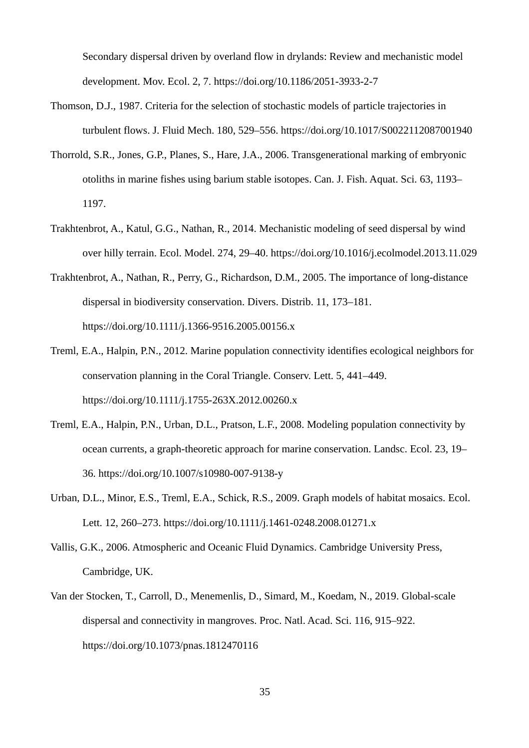Secondary dispersal driven by overland flow in drylands: Review and mechanistic model development. Mov. Ecol. 2, 7. https://doi.org/10.1186/2051-3933-2-7

- Thomson, D.J., 1987. Criteria for the selection of stochastic models of particle trajectories in turbulent flows. J. Fluid Mech. 180, 529–556. https://doi.org/10.1017/S0022112087001940
- Thorrold, S.R., Jones, G.P., Planes, S., Hare, J.A., 2006. Transgenerational marking of embryonic otoliths in marine fishes using barium stable isotopes. Can. J. Fish. Aquat. Sci. 63, 1193– 1197.
- Trakhtenbrot, A., Katul, G.G., Nathan, R., 2014. Mechanistic modeling of seed dispersal by wind over hilly terrain. Ecol. Model. 274, 29–40. https://doi.org/10.1016/j.ecolmodel.2013.11.029
- Trakhtenbrot, A., Nathan, R., Perry, G., Richardson, D.M., 2005. The importance of long-distance dispersal in biodiversity conservation. Divers. Distrib. 11, 173–181. https://doi.org/10.1111/j.1366-9516.2005.00156.x
- Treml, E.A., Halpin, P.N., 2012. Marine population connectivity identifies ecological neighbors for conservation planning in the Coral Triangle. Conserv. Lett. 5, 441–449. https://doi.org/10.1111/j.1755-263X.2012.00260.x
- Treml, E.A., Halpin, P.N., Urban, D.L., Pratson, L.F., 2008. Modeling population connectivity by ocean currents, a graph-theoretic approach for marine conservation. Landsc. Ecol. 23, 19– 36. https://doi.org/10.1007/s10980-007-9138-y
- Urban, D.L., Minor, E.S., Treml, E.A., Schick, R.S., 2009. Graph models of habitat mosaics. Ecol. Lett. 12, 260–273. https://doi.org/10.1111/j.1461-0248.2008.01271.x
- Vallis, G.K., 2006. Atmospheric and Oceanic Fluid Dynamics. Cambridge University Press, Cambridge, UK.
- Van der Stocken, T., Carroll, D., Menemenlis, D., Simard, M., Koedam, N., 2019. Global-scale dispersal and connectivity in mangroves. Proc. Natl. Acad. Sci. 116, 915–922. https://doi.org/10.1073/pnas.1812470116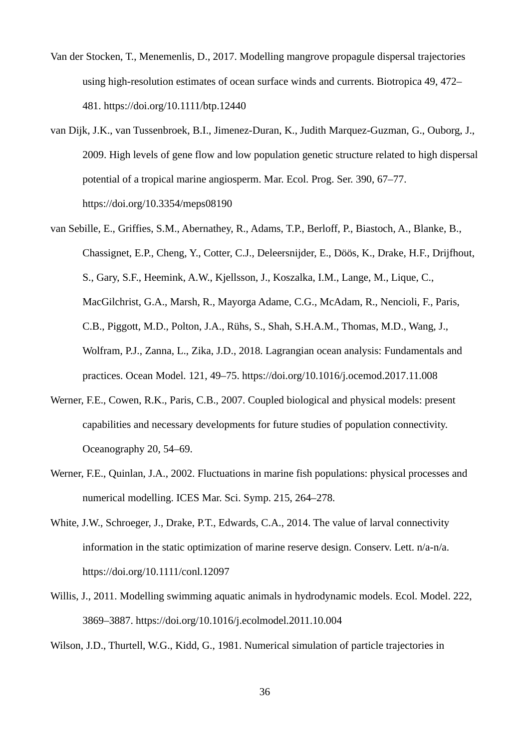- Van der Stocken, T., Menemenlis, D., 2017. Modelling mangrove propagule dispersal trajectories using high-resolution estimates of ocean surface winds and currents. Biotropica 49, 472– 481. https://doi.org/10.1111/btp.12440
- van Dijk, J.K., van Tussenbroek, B.I., Jimenez-Duran, K., Judith Marquez-Guzman, G., Ouborg, J., 2009. High levels of gene flow and low population genetic structure related to high dispersal potential of a tropical marine angiosperm. Mar. Ecol. Prog. Ser. 390, 67–77. https://doi.org/10.3354/meps08190
- van Sebille, E., Griffies, S.M., Abernathey, R., Adams, T.P., Berloff, P., Biastoch, A., Blanke, B., Chassignet, E.P., Cheng, Y., Cotter, C.J., Deleersnijder, E., Döös, K., Drake, H.F., Drijfhout, S., Gary, S.F., Heemink, A.W., Kjellsson, J., Koszalka, I.M., Lange, M., Lique, C., MacGilchrist, G.A., Marsh, R., Mayorga Adame, C.G., McAdam, R., Nencioli, F., Paris, C.B., Piggott, M.D., Polton, J.A., Rühs, S., Shah, S.H.A.M., Thomas, M.D., Wang, J., Wolfram, P.J., Zanna, L., Zika, J.D., 2018. Lagrangian ocean analysis: Fundamentals and practices. Ocean Model. 121, 49–75. https://doi.org/10.1016/j.ocemod.2017.11.008
- Werner, F.E., Cowen, R.K., Paris, C.B., 2007. Coupled biological and physical models: present capabilities and necessary developments for future studies of population connectivity. Oceanography 20, 54–69.
- Werner, F.E., Quinlan, J.A., 2002. Fluctuations in marine fish populations: physical processes and numerical modelling. ICES Mar. Sci. Symp. 215, 264–278.
- White, J.W., Schroeger, J., Drake, P.T., Edwards, C.A., 2014. The value of larval connectivity information in the static optimization of marine reserve design. Conserv. Lett. n/a-n/a. https://doi.org/10.1111/conl.12097
- Willis, J., 2011. Modelling swimming aquatic animals in hydrodynamic models. Ecol. Model. 222, 3869–3887. https://doi.org/10.1016/j.ecolmodel.2011.10.004

Wilson, J.D., Thurtell, W.G., Kidd, G., 1981. Numerical simulation of particle trajectories in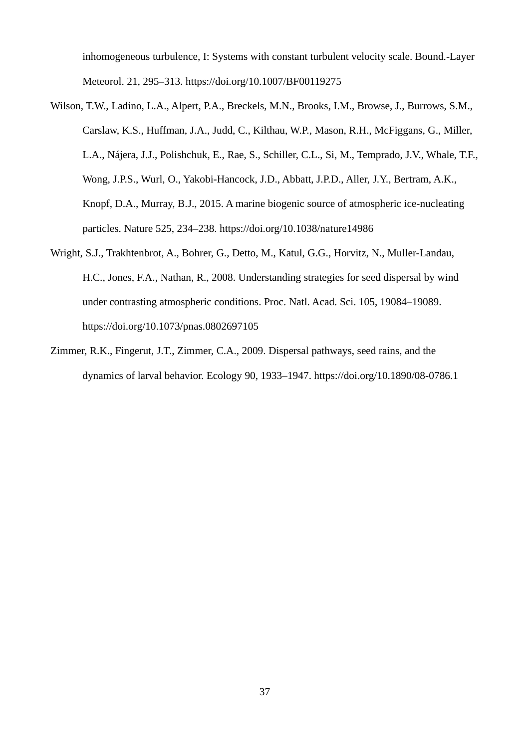inhomogeneous turbulence, I: Systems with constant turbulent velocity scale. Bound.-Layer Meteorol. 21, 295–313. https://doi.org/10.1007/BF00119275

- Wilson, T.W., Ladino, L.A., Alpert, P.A., Breckels, M.N., Brooks, I.M., Browse, J., Burrows, S.M., Carslaw, K.S., Huffman, J.A., Judd, C., Kilthau, W.P., Mason, R.H., McFiggans, G., Miller, L.A., Nájera, J.J., Polishchuk, E., Rae, S., Schiller, C.L., Si, M., Temprado, J.V., Whale, T.F., Wong, J.P.S., Wurl, O., Yakobi-Hancock, J.D., Abbatt, J.P.D., Aller, J.Y., Bertram, A.K., Knopf, D.A., Murray, B.J., 2015. A marine biogenic source of atmospheric ice-nucleating particles. Nature 525, 234–238. https://doi.org/10.1038/nature14986
- Wright, S.J., Trakhtenbrot, A., Bohrer, G., Detto, M., Katul, G.G., Horvitz, N., Muller-Landau, H.C., Jones, F.A., Nathan, R., 2008. Understanding strategies for seed dispersal by wind under contrasting atmospheric conditions. Proc. Natl. Acad. Sci. 105, 19084–19089. https://doi.org/10.1073/pnas.0802697105
- Zimmer, R.K., Fingerut, J.T., Zimmer, C.A., 2009. Dispersal pathways, seed rains, and the dynamics of larval behavior. Ecology 90, 1933–1947. https://doi.org/10.1890/08-0786.1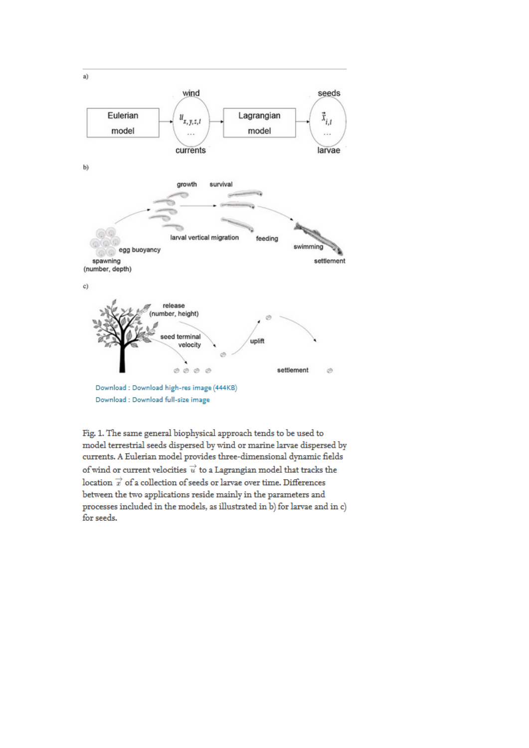

Download : Download full-size image

Fig. 1. The same general biophysical approach tends to be used to model terrestrial seeds dispersed by wind or marine larvae dispersed by currents. A Eulerian model provides three-dimensional dynamic fields of wind or current velocities  $\overrightarrow{u}$  to a Lagrangian model that tracks the location  $\overrightarrow{x}$  of a collection of seeds or larvae over time. Differences between the two applications reside mainly in the parameters and processes included in the models, as illustrated in b) for larvae and in c) for seeds.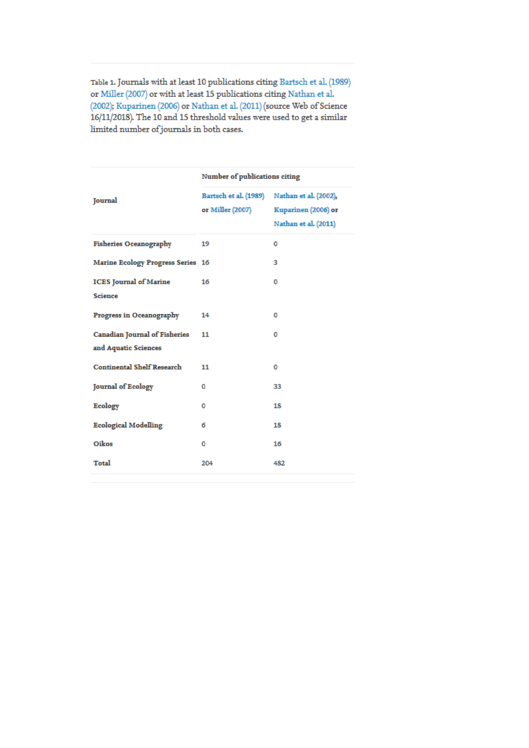Table 1. Journals with at least 10 publications citing Bartsch et al. (1989) or Miller (2007) or with at least 15 publications citing Nathan et al. (2002); Kuparinen (2006) or Nathan et al. (2011) (source Web of Science 16/11/2018). The 10 and 15 threshold values were used to get a similar limited number of journals in both cases.

| Journal                                                      | Number of publications citing                    |                                                                      |
|--------------------------------------------------------------|--------------------------------------------------|----------------------------------------------------------------------|
|                                                              | <b>Bartsch et al. (1989)</b><br>or Miller (2007) | Nathan et al. (2002),<br>Kuparinen (2006) or<br>Nathan et al. (2011) |
| <b>Fisheries Oceanography</b>                                | 19                                               | o                                                                    |
| <b>Marine Ecology Progress Series 16</b>                     |                                                  | з                                                                    |
| <b>ICES</b> Journal of Marine<br><b>Science</b>              | 16                                               | o                                                                    |
| Progress in Oceanography                                     | 14                                               | o                                                                    |
| <b>Canadian Journal of Fisheries</b><br>and Aquatic Sciences | 11                                               | o                                                                    |
| <b>Continental Shelf Research</b>                            | 11                                               | o                                                                    |
| <b>Journal of Ecology</b>                                    | 0                                                | 33                                                                   |
| <b>Ecology</b>                                               | 0                                                | 18                                                                   |
| <b>Ecological Modelling</b>                                  | 6                                                | 18                                                                   |
| Oikos                                                        | 0                                                | 16                                                                   |
| <b>Total</b>                                                 | 204                                              | 482                                                                  |
|                                                              |                                                  |                                                                      |